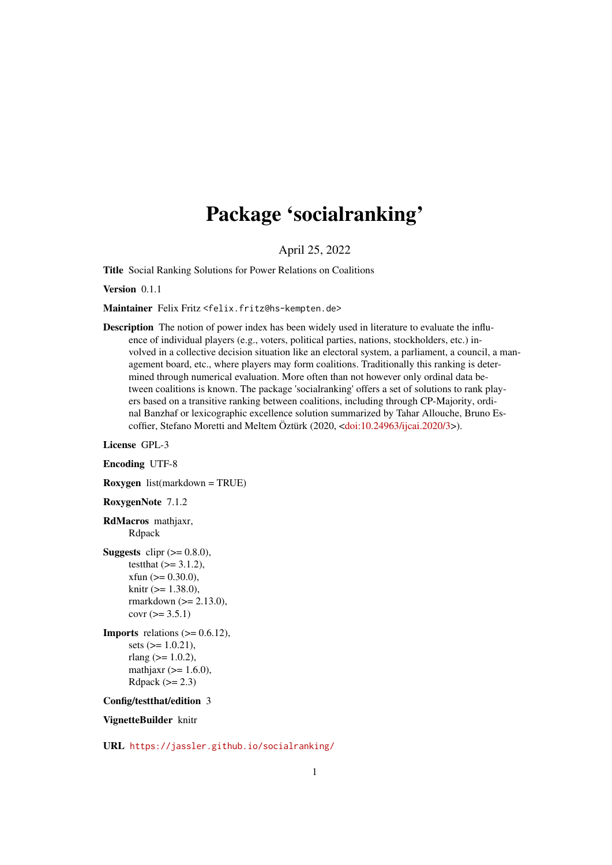# Package 'socialranking'

April 25, 2022

<span id="page-0-0"></span>Title Social Ranking Solutions for Power Relations on Coalitions

Version 0.1.1

Maintainer Felix Fritz <felix.fritz@hs-kempten.de>

Description The notion of power index has been widely used in literature to evaluate the influence of individual players (e.g., voters, political parties, nations, stockholders, etc.) involved in a collective decision situation like an electoral system, a parliament, a council, a management board, etc., where players may form coalitions. Traditionally this ranking is determined through numerical evaluation. More often than not however only ordinal data between coalitions is known. The package 'socialranking' offers a set of solutions to rank players based on a transitive ranking between coalitions, including through CP-Majority, ordinal Banzhaf or lexicographic excellence solution summarized by Tahar Allouche, Bruno Escoffier, Stefano Moretti and Meltem Öztürk (2020, [<doi:10.24963/ijcai.2020/3>](https://doi.org/10.24963/ijcai.2020/3)).

License GPL-3

Encoding UTF-8

Roxygen list(markdown = TRUE)

RoxygenNote 7.1.2

RdMacros mathjaxr, Rdpack

**Suggests** clipr  $(>= 0.8.0)$ , testthat  $(>= 3.1.2)$ ,  $x$ fun  $(>= 0.30.0)$ , knitr  $(>= 1.38.0)$ , rmarkdown (>= 2.13.0),  $covr (> = 3.5.1)$ 

**Imports** relations  $(>= 0.6.12)$ , sets  $(>= 1.0.21)$ , rlang ( $>= 1.0.2$ ), mathjaxr  $(>= 1.6.0)$ , Rdpack  $(>= 2.3)$ 

Config/testthat/edition 3

VignetteBuilder knitr

URL <https://jassler.github.io/socialranking/>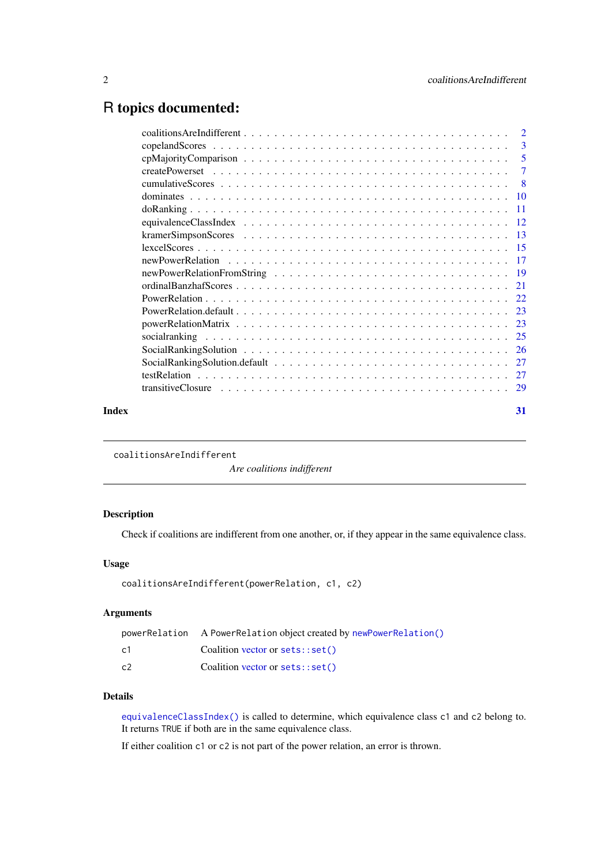# <span id="page-1-0"></span>R topics documented:

|       | -3 |
|-------|----|
|       |    |
|       |    |
|       |    |
|       |    |
|       |    |
|       |    |
|       |    |
|       |    |
|       |    |
|       |    |
|       |    |
|       |    |
|       |    |
|       |    |
|       |    |
|       |    |
|       |    |
|       |    |
|       |    |
| Index | 31 |
|       |    |

<span id="page-1-1"></span>coalitionsAreIndifferent

*Are coalitions indifferent*

# Description

Check if coalitions are indifferent from one another, or, if they appear in the same equivalence class.

# Usage

```
coalitionsAreIndifferent(powerRelation, c1, c2)
```
# Arguments

|    | powerRelation A PowerRelation object created by newPowerRelation() |
|----|--------------------------------------------------------------------|
| c1 | Coalition vector or sets::set()                                    |
| c2 | Coalition vector or sets::set()                                    |

# Details

[equivalenceClassIndex\(\)](#page-11-1) is called to determine, which equivalence class c1 and c2 belong to. It returns TRUE if both are in the same equivalence class.

If either coalition c1 or c2 is not part of the power relation, an error is thrown.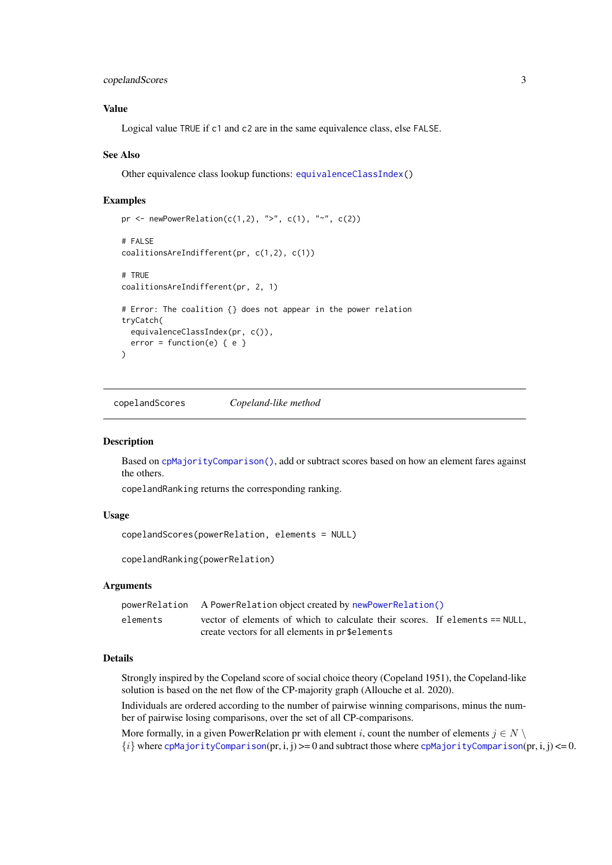<span id="page-2-0"></span>copelandScores 3

#### Value

Logical value TRUE if c1 and c2 are in the same equivalence class, else FALSE.

#### See Also

Other equivalence class lookup functions: [equivalenceClassIndex\(](#page-11-1))

#### Examples

```
pr <- newPowerRelation(c(1,2), ">", c(1), "~", c(2))
# FALSE
coalitionsAreIndifferent(pr, c(1,2), c(1))
# TRUE
coalitionsAreIndifferent(pr, 2, 1)
# Error: The coalition {} does not appear in the power relation
tryCatch(
 equivalenceClassIndex(pr, c()),
  error = function(e) { e })
```
<span id="page-2-1"></span>copelandScores *Copeland-like method*

#### <span id="page-2-2"></span>Description

Based on [cpMajorityComparison\(\)](#page-4-1), add or subtract scores based on how an element fares against the others.

copelandRanking returns the corresponding ranking.

#### Usage

```
copelandScores(powerRelation, elements = NULL)
```
copelandRanking(powerRelation)

#### Arguments

|          | powerRelation A PowerRelation object created by newPowerRelation()          |
|----------|-----------------------------------------------------------------------------|
| elements | vector of elements of which to calculate their scores. If elements == NULL, |
|          | create vectors for all elements in pr\$elements                             |

### Details

Strongly inspired by the Copeland score of social choice theory (Copeland 1951), the Copeland-like solution is based on the net flow of the CP-majority graph (Allouche et al. 2020).

Individuals are ordered according to the number of pairwise winning comparisons, minus the number of pairwise losing comparisons, over the set of all CP-comparisons.

More formally, in a given PowerRelation pr with element i, count the number of elements  $j \in N \setminus \mathbb{R}$  ${i}$  where [cpMajorityComparison](#page-4-1)(pr, i, j)  $>= 0$  and subtract those where cpMajorityComparison(pr, i, j)  $<= 0$ .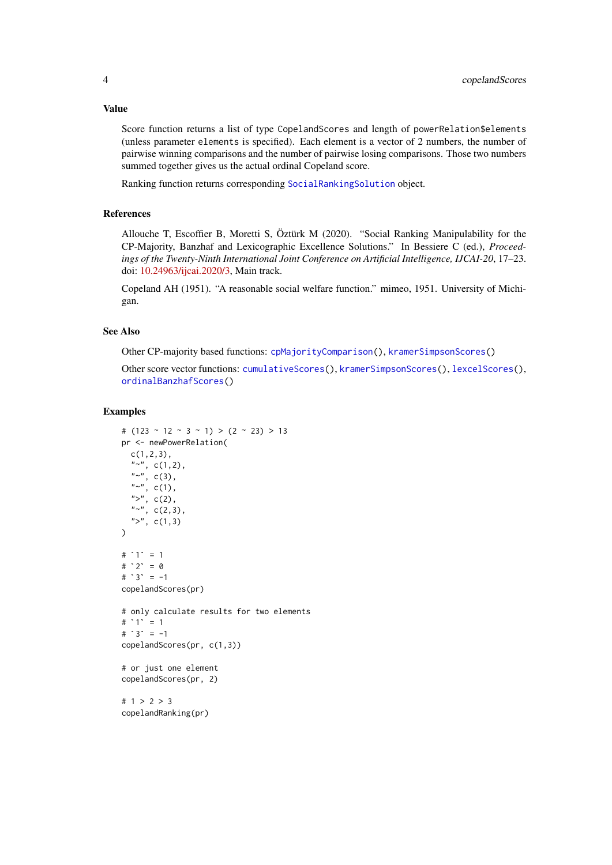#### Value

Score function returns a list of type CopelandScores and length of powerRelation\$elements (unless parameter elements is specified). Each element is a vector of 2 numbers, the number of pairwise winning comparisons and the number of pairwise losing comparisons. Those two numbers summed together gives us the actual ordinal Copeland score.

Ranking function returns corresponding [SocialRankingSolution](#page-25-1) object.

# References

Allouche T, Escoffier B, Moretti S, Öztürk M (2020). "Social Ranking Manipulability for the CP-Majority, Banzhaf and Lexicographic Excellence Solutions." In Bessiere C (ed.), *Proceedings of the Twenty-Ninth International Joint Conference on Artificial Intelligence, IJCAI-20*, 17–23. doi: [10.24963/ijcai.2020/3,](https://doi.org/10.24963/ijcai.2020/3) Main track.

Copeland AH (1951). "A reasonable social welfare function." mimeo, 1951. University of Michigan.

## See Also

Other CP-majority based functions: [cpMajorityComparison\(](#page-4-1)), [kramerSimpsonScores\(](#page-12-1))

Other score vector functions: [cumulativeScores\(](#page-7-1)), [kramerSimpsonScores\(](#page-12-1)), [lexcelScores\(](#page-14-1)), [ordinalBanzhafScores\(](#page-20-1))

#### Examples

```
# (123 \sim 12 \sim 3 \sim 1) > (2 \sim 23) > 13
pr <- newPowerRelation(
  c(1,2,3),
  "~", c(1,2),
  "~", c(3),
  "~", c(1),
  ">'', c(2),"~", c(2,3),
  ">'', c(1,3))
">", c(<br>)<br># `1` = 1
)<br># `1` = 1<br># `2` = 0
# 2 = 0<br># 3 = -1copelandScores(pr)
# only calculate results for two elements
copelandS<br># only ca<br># `1` = 1
# 1' = 1<br># 3' = -1copelandScores(pr, c(1,3))
# or just one element
copelandScores(pr, 2)
# 1 > 2 > 3
```
copelandRanking(pr)

<span id="page-3-0"></span>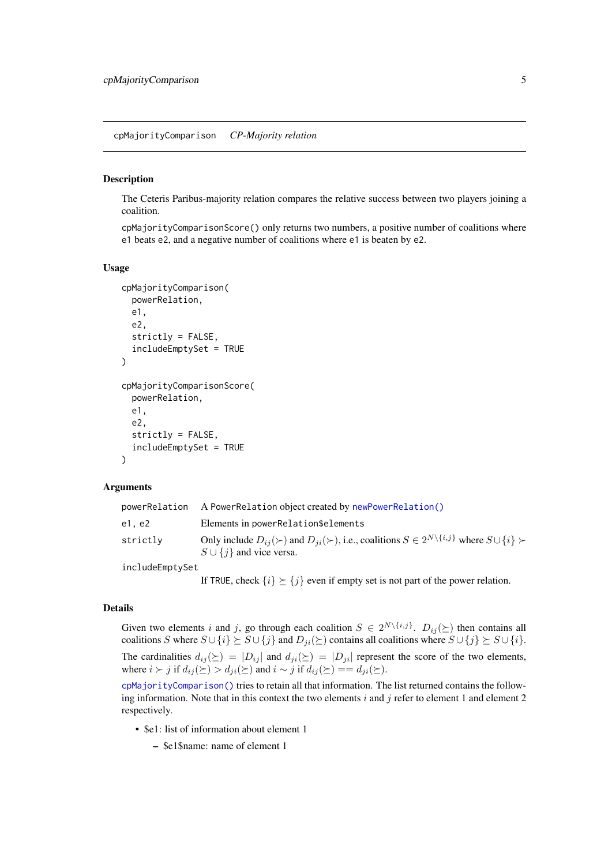<span id="page-4-1"></span><span id="page-4-0"></span>cpMajorityComparison *CP-Majority relation*

# <span id="page-4-2"></span>Description

The Ceteris Paribus-majority relation compares the relative success between two players joining a coalition.

cpMajorityComparisonScore() only returns two numbers, a positive number of coalitions where e1 beats e2, and a negative number of coalitions where e1 is beaten by e2.

#### Usage

```
cpMajorityComparison(
  powerRelation,
  e1,
  e2,
  strictly = FALSE,
  includeEmptySet = TRUE
\lambdacpMajorityComparisonScore(
  powerRelation,
  e1,
  e2,
  strictly = FALSE,
  includeEmptySet = TRUE
)
```
### Arguments

| powerRelation   | A PowerRelation object created by newPowerRelation()                                                                                                             |
|-----------------|------------------------------------------------------------------------------------------------------------------------------------------------------------------|
| e1, e2          | Elements in powerRelation\$elements                                                                                                                              |
| strictly        | Only include $D_{ij}(\succ)$ and $D_{ji}(\succ)$ , i.e., coalitions $S \in 2^{N \setminus \{i,j\}}$ where $S \cup \{i\} \succ$<br>$S \cup \{j\}$ and vice versa. |
| includeEmptySet |                                                                                                                                                                  |
|                 | If TRUE, check $\{i\} \succeq \{j\}$ even if empty set is not part of the power relation.                                                                        |

#### Details

Given two elements i and j, go through each coalition  $S \in 2^{N \setminus \{i,j\}}$ .  $D_{ij}(\succeq)$  then contains all coalitions S where  $S \cup \{i\} \succeq S \cup \{j\}$  and  $D_{ji}(\succeq)$  contains all coalitions where  $S \cup \{j\} \succeq S \cup \{i\}$ . The cardinalities  $d_{ij}(\succeq) = |D_{ij}|$  and  $d_{ji}(\succeq) = |D_{ji}|$  represent the score of the two elements,

where  $i \succ j$  if  $d_{ij}(\succeq) > d_{ji}(\succeq)$  and  $i \sim j$  if  $d_{ij}(\succeq) = d_{ji}(\succeq)$ . [cpMajorityComparison\(\)](#page-4-1) tries to retain all that information. The list returned contains the follow-

ing information. Note that in this context the two elements  $i$  and  $j$  refer to element 1 and element 2 respectively.

- \$e1: list of information about element 1
	- \$e1\$name: name of element 1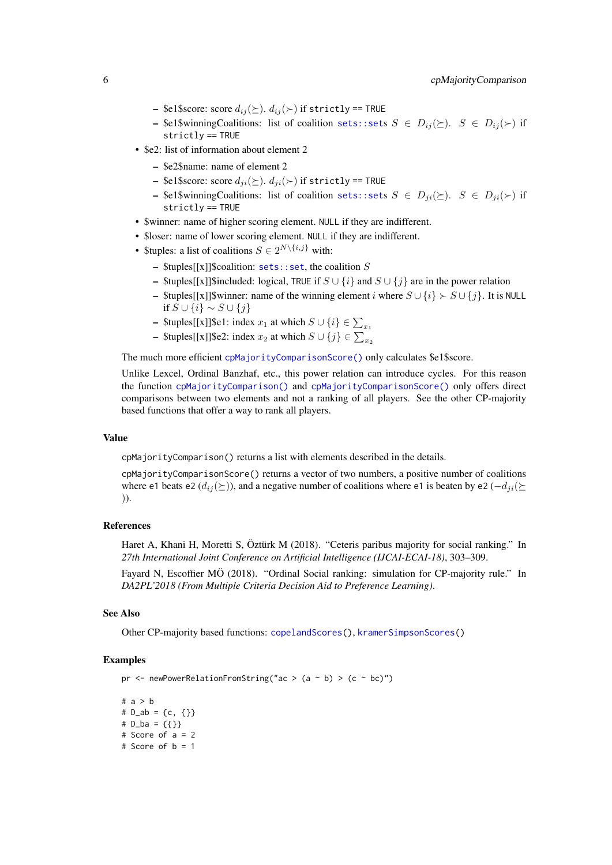- <span id="page-5-0"></span>– \$e1\$score: score  $d_{ij}(\succeq)$ .  $d_{ij}(\succeq)$  if strictly == TRUE
- \$e1\$winningCoalitions: list of coalition [sets::set](#page-0-0)s  $S \in D_{ij}(\succeq)$ .  $S \in D_{ij}(\succeq)$  if strictly == TRUE
- \$e2: list of information about element 2
	- \$e2\$name: name of element 2
	- \$e1\$score: score  $d_{ji}(\succeq)$ .  $d_{ji}(\succ)$  if strictly == TRUE
	- \$e1\$winningCoalitions: list of coalition [sets::set](#page-0-0)s  $S \in D_{ji}(\succeq)$ .  $S \in D_{ji}(\succeq)$  if strictly == TRUE
- \$winner: name of higher scoring element. NULL if they are indifferent.
- \$loser: name of lower scoring element. NULL if they are indifferent.
- \$tuples: a list of coalitions  $S \in 2^{N \setminus \{i,j\}}$  with:
	- $$tuples[[x]]\$ coalition: [sets::set](#page-0-0), the coalition  $S$
	- \$tuples[[x]]\$included: logical, TRUE if  $S \cup \{i\}$  and  $S \cup \{j\}$  are in the power relation
	- \$tuples[[x]]\$winner: name of the winning element i where  $S \cup \{i\} \succ S \cup \{j\}$ . It is NULL if  $S \cup \{i\} \sim S \cup \{j\}$
	- \$tuples[[x]]\$e1: index  $x_1$  at which  $S \cup \{i\} \in \sum_{x_1}$
	- \$tuples[[x]]\$e2: index  $x_2$  at which  $S \cup \{j\} \in \sum_{x_2}$

The much more efficient [cpMajorityComparisonScore\(\)](#page-4-2) only calculates \$e1\$score.

Unlike Lexcel, Ordinal Banzhaf, etc., this power relation can introduce cycles. For this reason the function [cpMajorityComparison\(\)](#page-4-1) and [cpMajorityComparisonScore\(\)](#page-4-2) only offers direct comparisons between two elements and not a ranking of all players. See the other CP-majority based functions that offer a way to rank all players.

#### Value

cpMajorityComparison() returns a list with elements described in the details.

cpMajorityComparisonScore() returns a vector of two numbers, a positive number of coalitions where e1 beats e2 ( $d_{ij}(\succeq)$ ), and a negative number of coalitions where e1 is beaten by e2 ( $-d_{ji}(\succeq)$ )).

# References

Haret A, Khani H, Moretti S, Öztürk M (2018). "Ceteris paribus majority for social ranking." In *27th International Joint Conference on Artificial Intelligence (IJCAI-ECAI-18)*, 303–309.

Fayard N, Escoffier MÖ (2018). "Ordinal Social ranking: simulation for CP-majority rule." In *DA2PL'2018 (From Multiple Criteria Decision Aid to Preference Learning)*.

#### See Also

Other CP-majority based functions: [copelandScores\(](#page-2-1)), [kramerSimpsonScores\(](#page-12-1))

#### Examples

pr <- newPowerRelationFromString("ac > (a ~ b) > (c ~ bc)")

# a > b #  $D_$ ab = {c, {}} #  $D_b = \{\{\}\}$ # Score of a = 2 # Score of b = 1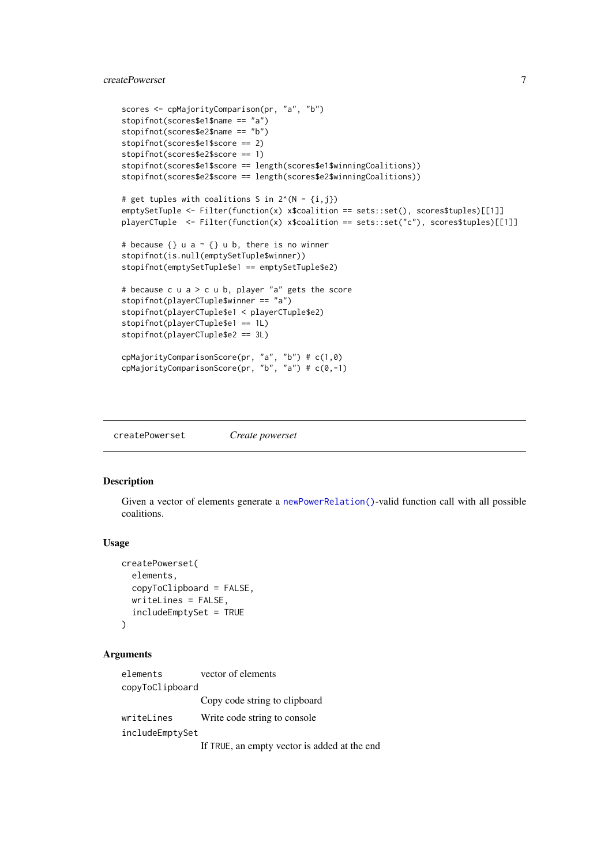# <span id="page-6-0"></span>createPowerset 7

```
scores <- cpMajorityComparison(pr, "a", "b")
stopifnot(scores$e1$name == "a")
stopifnot(scores$e2$name == "b")
stopifnot(scores$e1$score == 2)
stopifnot(scores$e2$score == 1)
stopifnot(scores$e1$score == length(scores$e1$winningCoalitions))
stopifnot(scores$e2$score == length(scores$e2$winningCoalitions))
# get tuples with coalitions S in 2^{(N - \{i,j\})}emptySetTuple <- Filter(function(x) x$coalition == sets::set(), scores$tuples)[[1]]
playerCTuple \leq-Filter(function(x) x$coalition == sets::set("c"), scores$tuples)[[1]]
# because \{\} u a \sim \{\} u b, there is no winner
stopifnot(is.null(emptySetTuple$winner))
stopifnot(emptySetTuple$e1 == emptySetTuple$e2)
# because c u a > c u b, player "a" gets the score
stopifnot(playerCTuple$winner == "a")
stopifnot(playerCTuple$e1 < playerCTuple$e2)
stopifnot(playerCTuple$e1 == 1L)
stopifnot(playerCTuple$e2 == 3L)
cpMajorityComparisonScore(pr, "a", "b") # c(1,0)
cpMajorityComparisonScore(pr, "b", "a") # c(0,-1)
```
<span id="page-6-1"></span>createPowerset *Create powerset*

#### Description

Given a vector of elements generate a [newPowerRelation\(\)](#page-16-1)-valid function call with all possible coalitions.

#### Usage

```
createPowerset(
  elements,
  copyToClipboard = FALSE,
  writeLines = FALSE,
  includeEmptySet = TRUE
)
```
#### Arguments

elements vector of elements copyToClipboard Copy code string to clipboard writeLines Write code string to console includeEmptySet

If TRUE, an empty vector is added at the end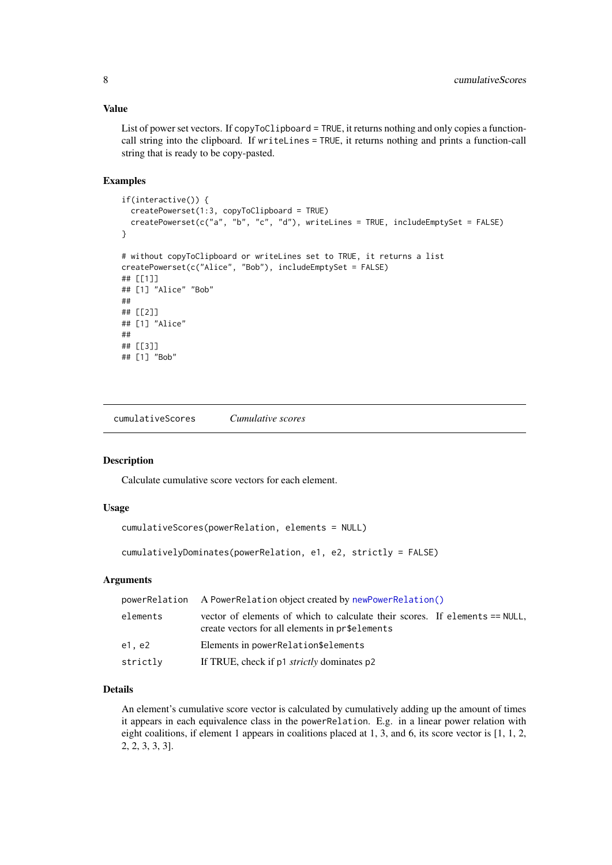#### Value

List of power set vectors. If copyToClipboard = TRUE, it returns nothing and only copies a functioncall string into the clipboard. If writeLines = TRUE, it returns nothing and prints a function-call string that is ready to be copy-pasted.

#### Examples

```
if(interactive()) {
  createPowerset(1:3, copyToClipboard = TRUE)
  createPowerset(c("a", "b", "c", "d"), writeLines = TRUE, includeEmptySet = FALSE)
}
# without copyToClipboard or writeLines set to TRUE, it returns a list
createPowerset(c("Alice", "Bob"), includeEmptySet = FALSE)
## [[1]]
## [1] "Alice" "Bob"
##
## [[2]]
## [1] "Alice"
##
## [[3]]
## [1] "Bob"
```
<span id="page-7-1"></span>cumulativeScores *Cumulative scores*

#### <span id="page-7-2"></span>Description

Calculate cumulative score vectors for each element.

#### Usage

```
cumulativeScores(powerRelation, elements = NULL)
```

```
cumulativelyDominates(powerRelation, e1, e2, strictly = FALSE)
```
# Arguments

| powerRelation | A PowerRelation object created by newPowerRelation()                                                                           |  |
|---------------|--------------------------------------------------------------------------------------------------------------------------------|--|
| elements      | vector of elements of which to calculate their scores. If elements == NULL,<br>create vectors for all elements in pr\$elements |  |
| e1. e2        | Elements in powerRelation\$elements                                                                                            |  |
| strictly      | If TRUE, check if p1 <i>strictly</i> dominates p2                                                                              |  |

# Details

An element's cumulative score vector is calculated by cumulatively adding up the amount of times it appears in each equivalence class in the powerRelation. E.g. in a linear power relation with eight coalitions, if element 1 appears in coalitions placed at 1, 3, and 6, its score vector is [1, 1, 2, 2, 2, 3, 3, 3].

<span id="page-7-0"></span>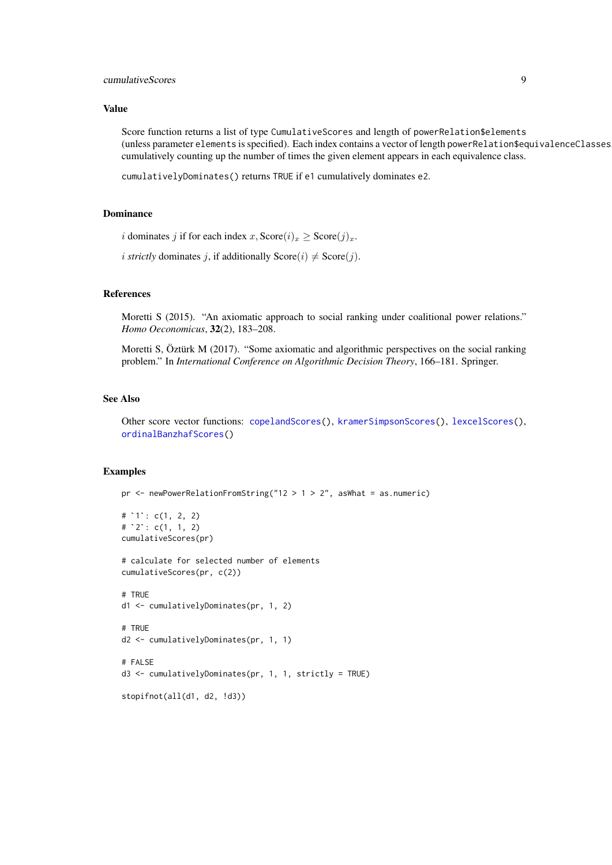#### <span id="page-8-0"></span>cumulativeScores 9

#### Value

Score function returns a list of type CumulativeScores and length of powerRelation\$elements (unless parameter elements is specified). Each index contains a vector of length powerRelation\$equivalenceClasses, cumulatively counting up the number of times the given element appears in each equivalence class.

cumulativelyDominates() returns TRUE if e1 cumulatively dominates e2.

# Dominance

```
i dominates j if for each index x, Score(i)_x \geq Score(j)_x.
```

```
i strictly dominates i, if additionally Score(i) \neq Score(j).
```
#### References

Moretti S (2015). "An axiomatic approach to social ranking under coalitional power relations." *Homo Oeconomicus*, 32(2), 183–208.

Moretti S, Öztürk M (2017). "Some axiomatic and algorithmic perspectives on the social ranking problem." In *International Conference on Algorithmic Decision Theory*, 166–181. Springer.

# See Also

Other score vector functions: [copelandScores\(](#page-2-1)), [kramerSimpsonScores\(](#page-12-1)), [lexcelScores\(](#page-14-1)), [ordinalBanzhafScores\(](#page-20-1))

# Examples

```
pr <- newPowerRelationFromString("12 > 1 > 2", asWhat = as.numeric)
```

```
-<br>pr <- newPowerRel<br># `1`: c(1, 2, 2)
# ^{\circ}1^{\circ}: c(1, 2, 2)<br># ^{\circ}2^{\circ}: c(1, 1, 2)
cumulativeScores(pr)
```
# calculate for selected number of elements cumulativeScores(pr, c(2))

```
# TRUE
d1 <- cumulativelyDominates(pr, 1, 2)
```

```
# TRUE
d2 <- cumulativelyDominates(pr, 1, 1)
```

```
# FALSE
d3 <- cumulativelyDominates(pr, 1, 1, strictly = TRUE)
```

```
stopifnot(all(d1, d2, !d3))
```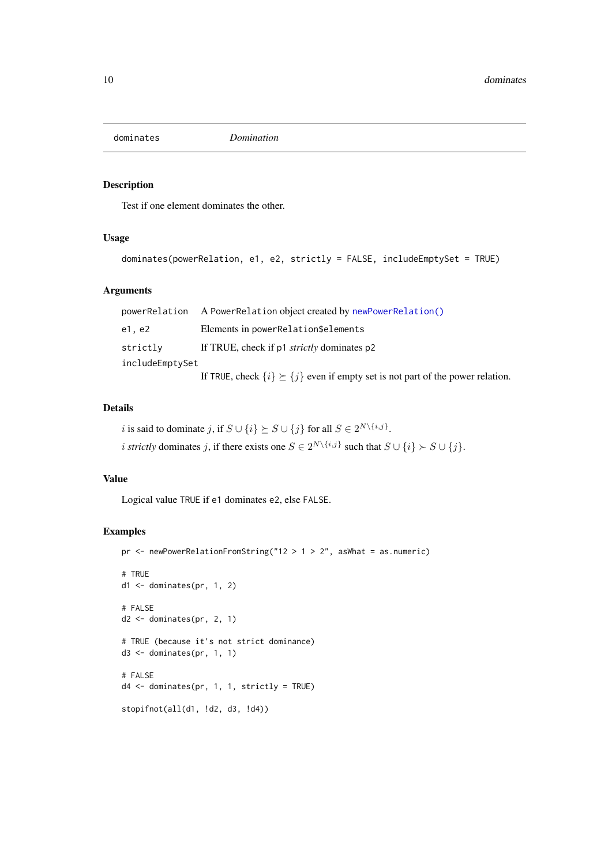<span id="page-9-1"></span><span id="page-9-0"></span>

# Description

Test if one element dominates the other.

# Usage

```
dominates(powerRelation, e1, e2, strictly = FALSE, includeEmptySet = TRUE)
```
# Arguments

|                 | powerRelation A PowerRelation object created by newPowerRelation()                        |
|-----------------|-------------------------------------------------------------------------------------------|
| e1. e2          | Elements in powerRelation\$elements                                                       |
| strictly        | If TRUE, check if p1 <i>strictly</i> dominates p2                                         |
| includeEmptySet |                                                                                           |
|                 | If TRUE, check $\{i\} \succeq \{j\}$ even if empty set is not part of the power relation. |

#### Details

i is said to dominate j, if  $S \cup \{i\} \succeq S \cup \{j\}$  for all  $S \in 2^{N \setminus \{i,j\}}$ . *i strictly* dominates j, if there exists one  $S \in 2^{N \setminus \{i,j\}}$  such that  $S \cup \{i\} \succ S \cup \{j\}$ .

#### Value

Logical value TRUE if e1 dominates e2, else FALSE.

```
pr \leq - newPowerRelationFromString("12 > 1 > 2", asWhat = as.numeric)
# TRUE
d1 <- dominates(pr, 1, 2)
# FALSE
d2 \le dominates(pr, 2, 1)
# TRUE (because it's not strict dominance)
d3 <- dominates(pr, 1, 1)
# FALSE
d4 <- dominates(pr, 1, 1, strictly = TRUE)
stopifnot(all(d1, !d2, d3, !d4))
```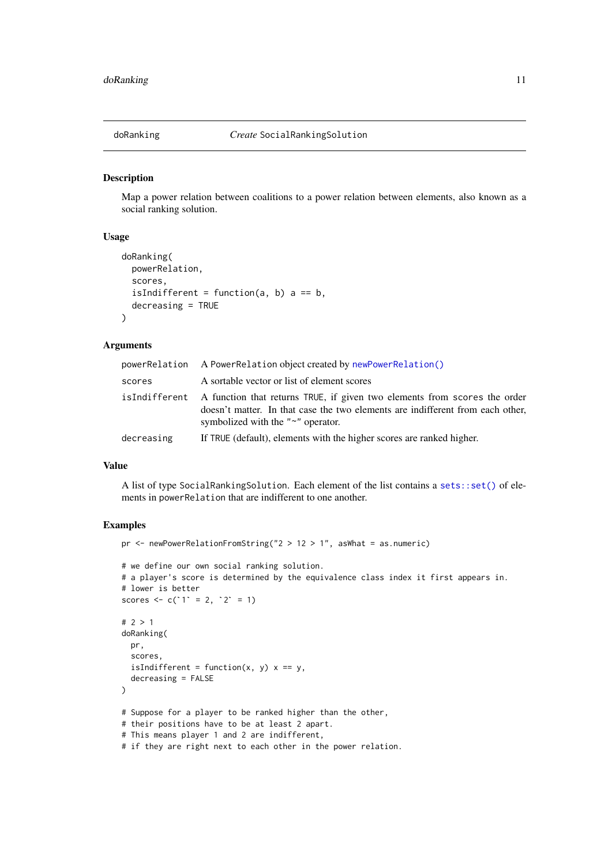<span id="page-10-1"></span><span id="page-10-0"></span>

#### Description

Map a power relation between coalitions to a power relation between elements, also known as a social ranking solution.

# Usage

```
doRanking(
  powerRelation,
  scores,
  isIndifferent = function(a, b) a == b,
  decreasing = TRUE
)
```
#### Arguments

|            | powerRelation A PowerRelation object created by newPowerRelation()                                                                                                                                                    |
|------------|-----------------------------------------------------------------------------------------------------------------------------------------------------------------------------------------------------------------------|
| scores     | A sortable vector or list of element scores                                                                                                                                                                           |
|            | isIndifferent A function that returns TRUE, if given two elements from scores the order<br>doesn't matter. In that case the two elements are indifferent from each other,<br>symbolized with the " $\sim$ " operator. |
| decreasing | If TRUE (default), elements with the higher scores are ranked higher.                                                                                                                                                 |

# Value

A list of type SocialRankingSolution. Each element of the list contains a [sets::set\(\)](#page-0-0) of elements in powerRelation that are indifferent to one another.

```
pr <- newPowerRelationFromString("2 > 12 > 1", asWhat = as.numeric)
# we define our own social ranking solution.
# a player's score is determined by the equivalence class index it first appears in.
# lower is better
scores <- c('1' = 2, '2' = 1)
# 2 > 1
doRanking(
  pr,
  scores,
  isIndifferent = function(x, y) x == y,
  decreasing = FALSE
)
# Suppose for a player to be ranked higher than the other,
# their positions have to be at least 2 apart.
# This means player 1 and 2 are indifferent,
# if they are right next to each other in the power relation.
```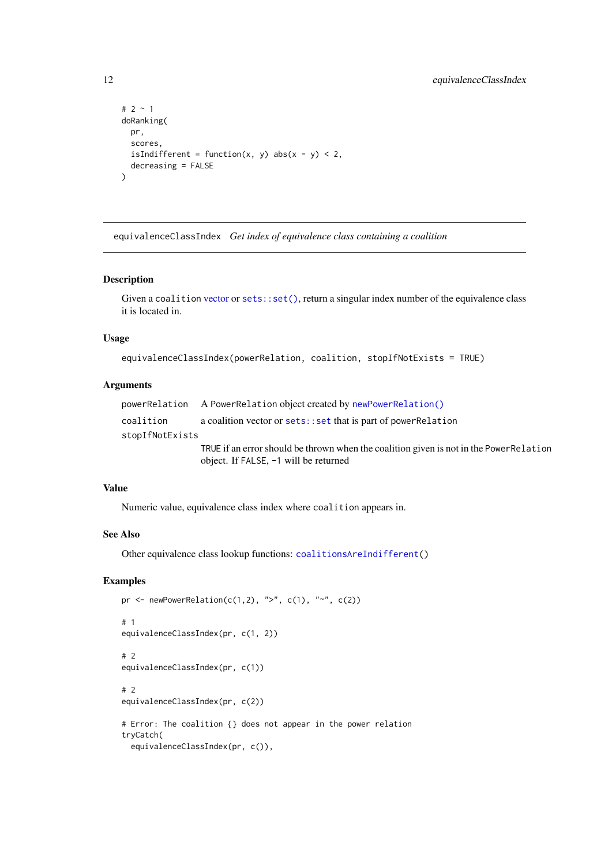```
# 2 \sim 1
doRanking(
  pr,
  scores,
  isIndifferent = function(x, y) abs(x - y) < 2,
  decreasing = FALSE
\lambda
```
<span id="page-11-1"></span>equivalenceClassIndex *Get index of equivalence class containing a coalition*

#### Description

Given a coalition [vector](#page-0-0) or [sets::set\(\)](#page-0-0), return a singular index number of the equivalence class it is located in.

# Usage

equivalenceClassIndex(powerRelation, coalition, stopIfNotExists = TRUE)

# Arguments

```
powerRelation A PowerRelation object created by newPowerRelation()
coalition a coalition vector or sets::set that is part of powerRelation
stopIfNotExists
                 TRUE if an error should be thrown when the coalition given is not in the PowerRelation
                 object. If FALSE, -1 will be returned
```
# Value

Numeric value, equivalence class index where coalition appears in.

# See Also

Other equivalence class lookup functions: [coalitionsAreIndifferent\(](#page-1-1))

```
pr <- newPowerRelation(c(1,2), ">", c(1), "~", c(2))
# 1
equivalenceClassIndex(pr, c(1, 2))
# 2
equivalenceClassIndex(pr, c(1))
# 2
equivalenceClassIndex(pr, c(2))
# Error: The coalition {} does not appear in the power relation
tryCatch(
  equivalenceClassIndex(pr, c()),
```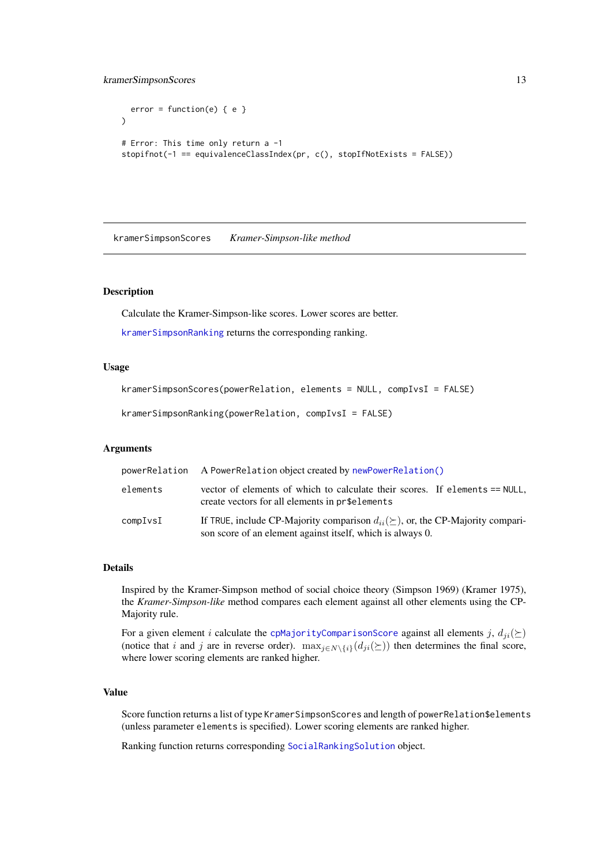```
error = function(e) { e }\lambda# Error: This time only return a -1
stopifnot(-1 == equivalenceClassIndex(pr, c(), stopIfNotExists = FALSE))
```
<span id="page-12-1"></span>kramerSimpsonScores *Kramer-Simpson-like method*

## <span id="page-12-2"></span>Description

Calculate the Kramer-Simpson-like scores. Lower scores are better.

[kramerSimpsonRanking](#page-12-2) returns the corresponding ranking.

# Usage

```
kramerSimpsonScores(powerRelation, elements = NULL, compIvsI = FALSE)
```
kramerSimpsonRanking(powerRelation, compIvsI = FALSE)

# Arguments

| powerRelation | A PowerRelation object created by newPowerRelation()                                                                                                   |
|---------------|--------------------------------------------------------------------------------------------------------------------------------------------------------|
| elements      | vector of elements of which to calculate their scores. If elements == NULL,<br>create vectors for all elements in pr\$elements                         |
| compIvsI      | If TRUE, include CP-Majority comparison $d_{ii}(\succeq)$ , or, the CP-Majority compari-<br>son score of an element against itself, which is always 0. |

#### Details

Inspired by the Kramer-Simpson method of social choice theory (Simpson 1969) (Kramer 1975), the *Kramer-Simpson-like* method compares each element against all other elements using the CP-Majority rule.

For a given element i calculate the [cpMajorityComparisonScore](#page-4-2) against all elements j,  $d_{ii}(\succeq)$ (notice that i and j are in reverse order).  $\max_{i \in N \setminus \{i\}}(d_{ji}(\succeq))$  then determines the final score, where lower scoring elements are ranked higher.

# Value

Score function returns a list of type KramerSimpsonScores and length of powerRelation\$elements (unless parameter elements is specified). Lower scoring elements are ranked higher.

Ranking function returns corresponding [SocialRankingSolution](#page-25-1) object.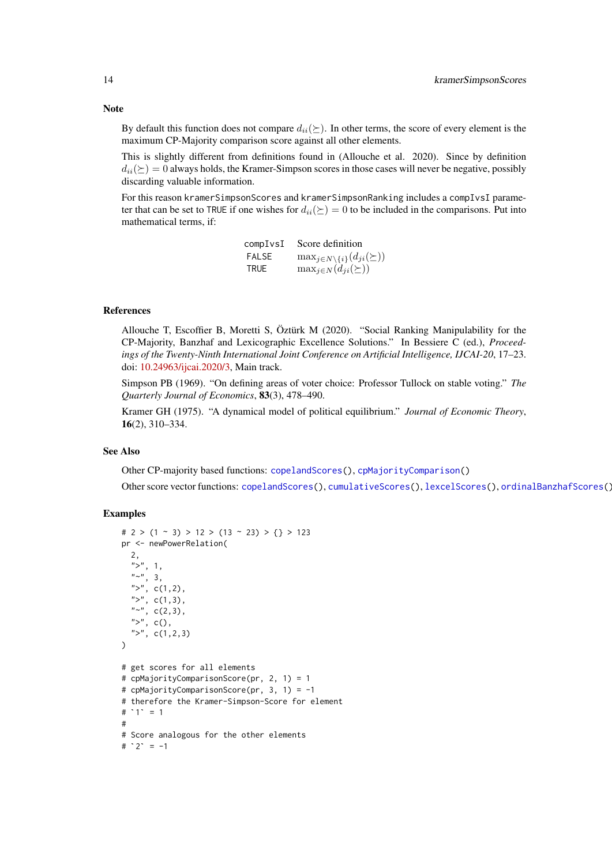<span id="page-13-0"></span>By default this function does not compare  $d_{ii}(\succeq)$ . In other terms, the score of every element is the maximum CP-Majority comparison score against all other elements.

This is slightly different from definitions found in (Allouche et al. 2020). Since by definition  $d_{ii}(\succeq)=0$  always holds, the Kramer-Simpson scores in those cases will never be negative, possibly discarding valuable information.

For this reason kramerSimpsonScores and kramerSimpsonRanking includes a compIvsI parameter that can be set to TRUE if one wishes for  $d_{ii}(\succeq) = 0$  to be included in the comparisons. Put into mathematical terms, if:

| compIvsI     | Score definition                                  |
|--------------|---------------------------------------------------|
| <b>FALSE</b> | $\max_{j \in N \setminus \{i\}}(d_{ji}(\succeq))$ |
| <b>TRUE</b>  | $\max_{j \in N} (d_{ji}(\succeq))$                |

#### References

Allouche T, Escoffier B, Moretti S, Öztürk M (2020). "Social Ranking Manipulability for the CP-Majority, Banzhaf and Lexicographic Excellence Solutions." In Bessiere C (ed.), *Proceedings of the Twenty-Ninth International Joint Conference on Artificial Intelligence, IJCAI-20*, 17–23. doi: [10.24963/ijcai.2020/3,](https://doi.org/10.24963/ijcai.2020/3) Main track.

Simpson PB (1969). "On defining areas of voter choice: Professor Tullock on stable voting." *The Quarterly Journal of Economics*, 83(3), 478–490.

Kramer GH (1975). "A dynamical model of political equilibrium." *Journal of Economic Theory*, 16(2), 310–334.

#### See Also

Other CP-majority based functions: [copelandScores\(](#page-2-1)), [cpMajorityComparison\(](#page-4-1))

Other score vector functions: [copelandScores\(](#page-2-1)), [cumulativeScores\(](#page-7-1)), [lexcelScores\(](#page-14-1)), [ordinalBanzhafScores\(](#page-20-1))

```
\# 2 > (1 \sim 3) > 12 > (13 \sim 23) > \{\} > 123pr <- newPowerRelation(
  2,
   ">", 1,
   "'', 3,
  ">'', c(1,2),">", c(1,3),
  "\sim", c(2,3),
  ">", c(),
  ">'', c(1,2,3))
# get scores for all elements
# cpMajorityComparisonScore(pr, 2, 1) = 1
# cpMajorityComparisonScore(pr, 3, 1) = -1
# therefore the Kramer-Simpson-Score for element
# cpMajor<br># cpMajor<br># therefo<br># `1` = 1
#
# Score analogous for the other elements
# `1` = 1<br>#<br># Score an<br># `2` = -1
```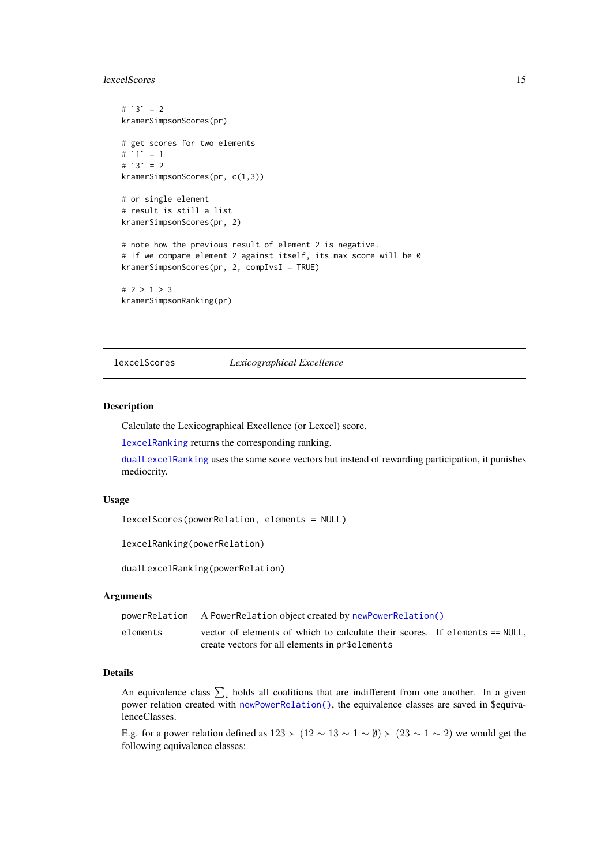#### <span id="page-14-0"></span>lexcelScores 15

```
# `3` = 2
kramerSimpsonScores(pr)<br># get scores for two el<br># `1` = 1
# get scores for two elements
# get sco<br># `1` = 1<br># `3` = 2
kramerSimpsonScores(pr, c(1,3))
# or single element
# result is still a list
kramerSimpsonScores(pr, 2)
# note how the previous result of element 2 is negative.
# If we compare element 2 against itself, its max score will be 0
kramerSimpsonScores(pr, 2, compIvsI = TRUE)
# 2 > 1 > 3
kramerSimpsonRanking(pr)
```
<span id="page-14-1"></span>lexcelScores *Lexicographical Excellence*

#### <span id="page-14-2"></span>Description

Calculate the Lexicographical Excellence (or Lexcel) score.

[lexcelRanking](#page-14-2) returns the corresponding ranking.

[dualLexcelRanking](#page-14-2) uses the same score vectors but instead of rewarding participation, it punishes mediocrity.

# Usage

lexcelScores(powerRelation, elements = NULL)

lexcelRanking(powerRelation)

dualLexcelRanking(powerRelation)

#### Arguments

|          | powerRelation A PowerRelation object created by newPowerRelation()          |
|----------|-----------------------------------------------------------------------------|
| elements | vector of elements of which to calculate their scores. If elements == NULL, |
|          | create vectors for all elements in pr\$elements                             |

# Details

An equivalence class  $\sum_i$  holds all coalitions that are indifferent from one another. In a given power relation created with [newPowerRelation\(\)](#page-16-1), the equivalence classes are saved in \$equivalenceClasses.

E.g. for a power relation defined as  $123 \succ (12 \sim 13 \sim 1 \sim \emptyset) \succ (23 \sim 1 \sim 2)$  we would get the following equivalence classes: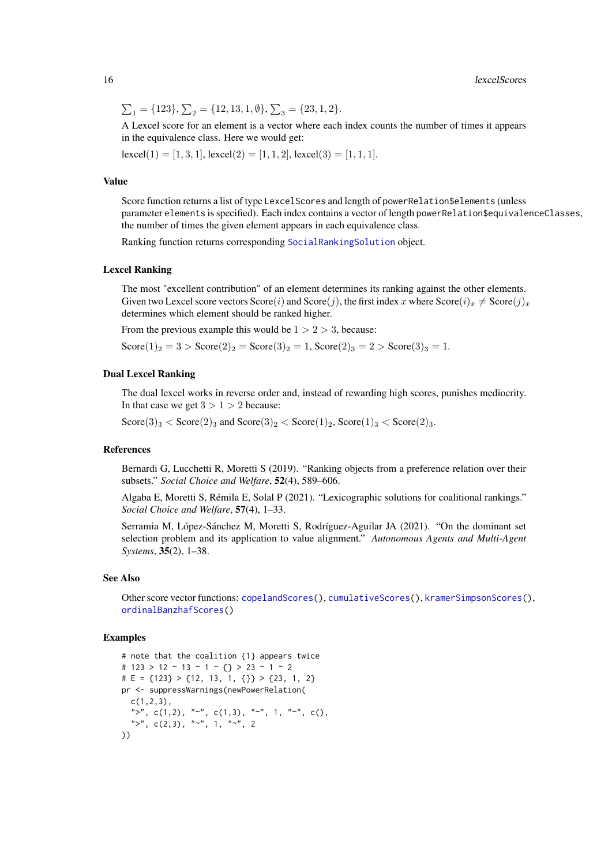<span id="page-15-0"></span>16 lexcelScores and the set of the set of the set of the set of the set of the set of the set of the set of the set of the set of the set of the set of the set of the set of the set of the set of the set of the set of the

$$
\sum_1 = \{123\}, \sum_2 = \{12, 13, 1, \emptyset\}, \sum_3 = \{23, 1, 2\}.
$$

A Lexcel score for an element is a vector where each index counts the number of times it appears in the equivalence class. Here we would get:

 $\text{lexcel}(1) = [1, 3, 1], \text{lexcel}(2) = [1, 1, 2], \text{lexcel}(3) = [1, 1, 1].$ 

#### Value

Score function returns a list of type LexcelScores and length of powerRelation\$elements (unless parameter elements is specified). Each index contains a vector of length powerRelation\$equivalenceClasses, the number of times the given element appears in each equivalence class.

Ranking function returns corresponding [SocialRankingSolution](#page-25-1) object.

#### Lexcel Ranking

The most "excellent contribution" of an element determines its ranking against the other elements. Given two Lexcel score vectors  $Score(i)$  and  $Score(j)$ , the first index x where  $Score(i)_x \neq Score(j)_x$ determines which element should be ranked higher.

From the previous example this would be  $1 > 2 > 3$ , because:

 $Score(1)_2 = 3 > Score(2)_2 = Score(3)_2 = 1, Score(2)_3 = 2 > Score(3)_3 = 1.$ 

#### Dual Lexcel Ranking

The dual lexcel works in reverse order and, instead of rewarding high scores, punishes mediocrity. In that case we get  $3 > 1 > 2$  because:

 $\text{Score}(3)_3 < \text{Score}(2)_3$  and  $\text{Score}(3)_2 < \text{Score}(1)_2$ ,  $\text{Score}(1)_3 < \text{Score}(2)_3$ .

#### References

Bernardi G, Lucchetti R, Moretti S (2019). "Ranking objects from a preference relation over their subsets." *Social Choice and Welfare*, 52(4), 589–606.

Algaba E, Moretti S, Rémila E, Solal P (2021). "Lexicographic solutions for coalitional rankings." *Social Choice and Welfare*, 57(4), 1–33.

Serramia M, López-Sánchez M, Moretti S, Rodríguez-Aguilar JA (2021). "On the dominant set selection problem and its application to value alignment." *Autonomous Agents and Multi-Agent Systems*, 35(2), 1–38.

#### See Also

Other score vector functions: [copelandScores\(](#page-2-1)), [cumulativeScores\(](#page-7-1)), [kramerSimpsonScores\(](#page-12-1)), [ordinalBanzhafScores\(](#page-20-1))

```
# note that the coalition {1} appears twice
# 123 > 12 ~ 13 ~ 1 ~ {} > 23 ~ 1 ~ 2
# E = \{123\} > \{12, 13, 1, \{\}\} > \{23, 1, 2\}pr <- suppressWarnings(newPowerRelation(
 c(1,2,3),
  ">", c(1,2), "~", c(1,3), "~", 1, "~", c(),
  ">''', c(2,3), "'''', 1, "'''', 2
))
```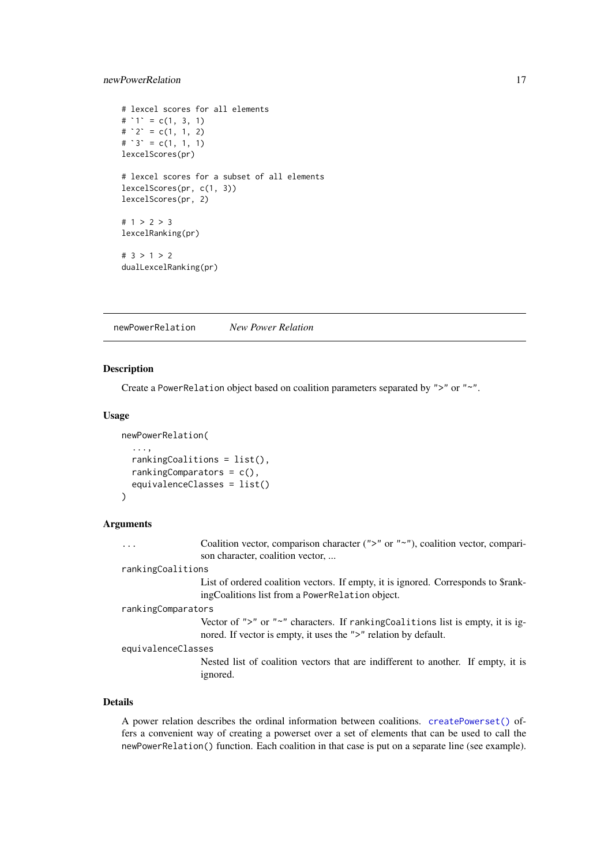#### <span id="page-16-0"></span>newPowerRelation 17

```
# lexcel scores for all elements
# lexcel scores fo<br># lexcel scores fo<br># `1` = c(1, 3, 1)
# lexcel scores fo<br># `1` = c(1, 3, 1)<br># `2` = c(1, 1, 2)
# 2^{\circ} = c(1, 1, 2)<br># 3^{\circ} = c(1, 1, 1)lexcelScores(pr)
# lexcel scores for a subset of all elements
lexcelScores(pr, c(1, 3))
lexcelScores(pr, 2)
# 1 > 2 > 3lexcelRanking(pr)
# 3 > 1 > 2
dualLexcelRanking(pr)
```
<span id="page-16-1"></span>newPowerRelation *New Power Relation*

# Description

Create a PowerRelation object based on coalition parameters separated by ">" or "~".

# Usage

```
newPowerRelation(
  ...,
  rankingCoalitions = list(),
  rankingComparators = c(),
  equivalenceClasses = list()
\lambda
```
# Arguments

| Coalition vector, comparison character (">" or "~"), coalition vector, compari-<br>.<br>son character, coalition vector,                                 |
|----------------------------------------------------------------------------------------------------------------------------------------------------------|
| rankingCoalitions                                                                                                                                        |
| List of ordered coalition vectors. If empty, it is ignored. Corresponds to \$rank-<br>ing Coalitions list from a Power Relation object.                  |
| rankingComparators                                                                                                                                       |
| Vector of ">" or " $\sim$ " characters. If rankingCoalitions list is empty, it is ig-<br>nored. If vector is empty, it uses the ">" relation by default. |
| equivalenceClasses                                                                                                                                       |
| Nested list of coalition vectors that are indifferent to another. If empty, it is<br>ignored.                                                            |

# Details

A power relation describes the ordinal information between coalitions. [createPowerset\(\)](#page-6-1) offers a convenient way of creating a powerset over a set of elements that can be used to call the newPowerRelation() function. Each coalition in that case is put on a separate line (see example).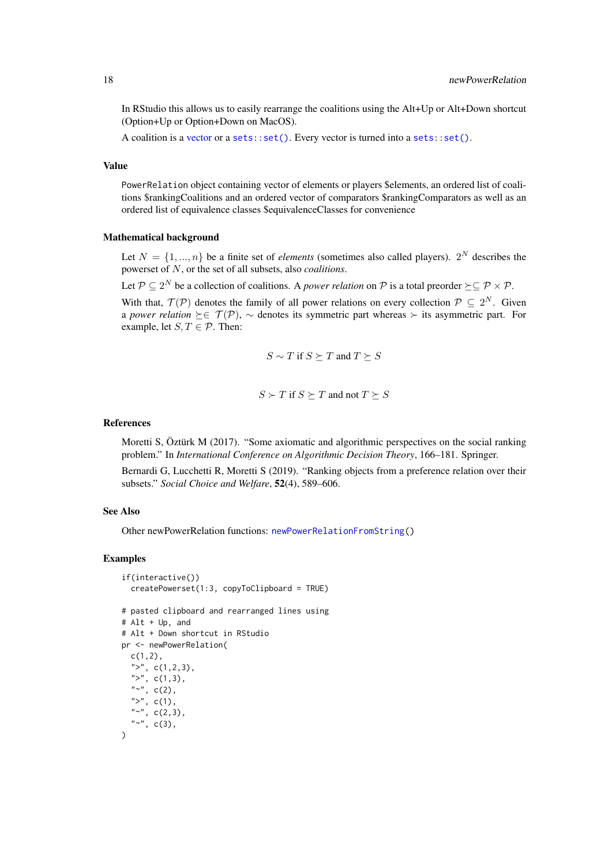In RStudio this allows us to easily rearrange the coalitions using the Alt+Up or Alt+Down shortcut (Option+Up or Option+Down on MacOS).

A coalition is a [vector](#page-0-0) or a [sets::set\(\)](#page-0-0). Every vector is turned into a sets::set().

# Value

PowerRelation object containing vector of elements or players \$elements, an ordered list of coalitions \$rankingCoalitions and an ordered vector of comparators \$rankingComparators as well as an ordered list of equivalence classes \$equivalenceClasses for convenience

#### Mathematical background

Let  $N = \{1, ..., n\}$  be a finite set of *elements* (sometimes also called players).  $2^N$  describes the powerset of N, or the set of all subsets, also *coalitions*.

Let  $P \subseteq 2^N$  be a collection of coalitions. A *power relation* on P is a total preorder  $\succeq \subseteq P \times P$ .

With that,  $\mathcal{T}(\mathcal{P})$  denotes the family of all power relations on every collection  $\mathcal{P} \subseteq 2^N$ . Given a *power relation*  $\succeq \in \mathcal{T}(\mathcal{P})$ ,  $\sim$  denotes its symmetric part whereas  $\succ$  its asymmetric part. For example, let  $S, T \in \mathcal{P}$ . Then:

$$
S\sim T
$$
 if  $S\succeq T$  and  $T\succeq S$ 

$$
S \succ T \text{ if } S \succeq T \text{ and not } T \succeq S
$$

# References

Moretti S, Öztürk M (2017). "Some axiomatic and algorithmic perspectives on the social ranking problem." In *International Conference on Algorithmic Decision Theory*, 166–181. Springer.

Bernardi G, Lucchetti R, Moretti S (2019). "Ranking objects from a preference relation over their subsets." *Social Choice and Welfare*, 52(4), 589–606.

# See Also

Other newPowerRelation functions: [newPowerRelationFromString\(](#page-18-1))

```
if(interactive())
  createPowerset(1:3, copyToClipboard = TRUE)
# pasted clipboard and rearranged lines using
# Alt + Up, and
# Alt + Down shortcut in RStudio
pr <- newPowerRelation(
  c(1,2),
  ">", c(1,2,3),
  ">", c(1,3),
  "~", c(2),
  ">", c(1),
  "~", c(2,3),
  "~", c(3),
\lambda
```
<span id="page-17-0"></span>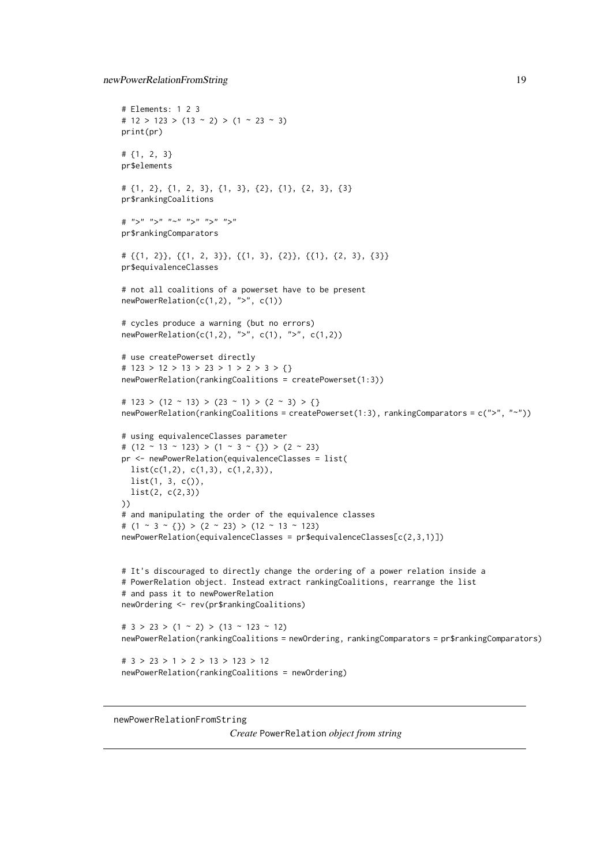```
newPowerRelationFromString 19
```

```
# Elements: 1 2 3
# 12 > 123 > (13 \sim 2) > (1 \sim 23 \sim 3)print(pr)
# {1, 2, 3}
pr$elements
# {1, 2}, {1, 2, 3}, {1, 3}, {2}, {1}, {2, 3}, {3}
pr$rankingCoalitions
# ">''''' "'''' "'''' "'''' "''''pr$rankingComparators
# {{1, 2}}, {{1, 2, 3}}, {{1, 3}, {2}}, {{1}, {2, 3}, {3}}
pr$equivalenceClasses
# not all coalitions of a powerset have to be present
newPowerRelation(c(1,2), ">", c(1))
# cycles produce a warning (but no errors)
newPowerRelation(c(1,2), ">", c(1), ">", c(1,2))
# use createPowerset directly
# 123 > 12 > 13 > 23 > 1 > 2 > 3 > {}
newPowerRelation(rankingCoalitions = createPowerset(1:3))
# 123 > (12 ~ 13) > (23 ~ 1) > (2 ~ 3) > {}
newPowerRelation(rankingCoalitions = createPowerset(1:3), rankingComparators = c(">", "~"))
# using equivalenceClasses parameter
# (12 \sim 13 \sim 123) > (1 \sim 3 \sim \{3\}) > (2 \sim 23)pr <- newPowerRelation(equivalenceClasses = list(
 list(c(1,2), c(1,3), c(1,2,3)),list(1, 3, c()),
 list(2, c(2,3))
))
# and manipulating the order of the equivalence classes
# (1 \sim 3 \sim \{\}) > (2 \sim 23) > (12 \sim 13 \sim 123)newPowerRelation(equivalenceClasses = pr$equivalenceClasses[c(2,3,1)])
# It's discouraged to directly change the ordering of a power relation inside a
# PowerRelation object. Instead extract rankingCoalitions, rearrange the list
# and pass it to newPowerRelation
newOrdering <- rev(pr$rankingCoalitions)
# 3 > 23 > (1 \sim 2) > (13 \sim 123 \sim 12)newPowerRelation(rankingCoalitions = newOrdering, rankingComparators = pr$rankingComparators)
# 3 > 23 > 1 > 2 > 13 > 123 > 12
newPowerRelation(rankingCoalitions = newOrdering)
```
<span id="page-18-1"></span>newPowerRelationFromString

*Create* PowerRelation *object from string*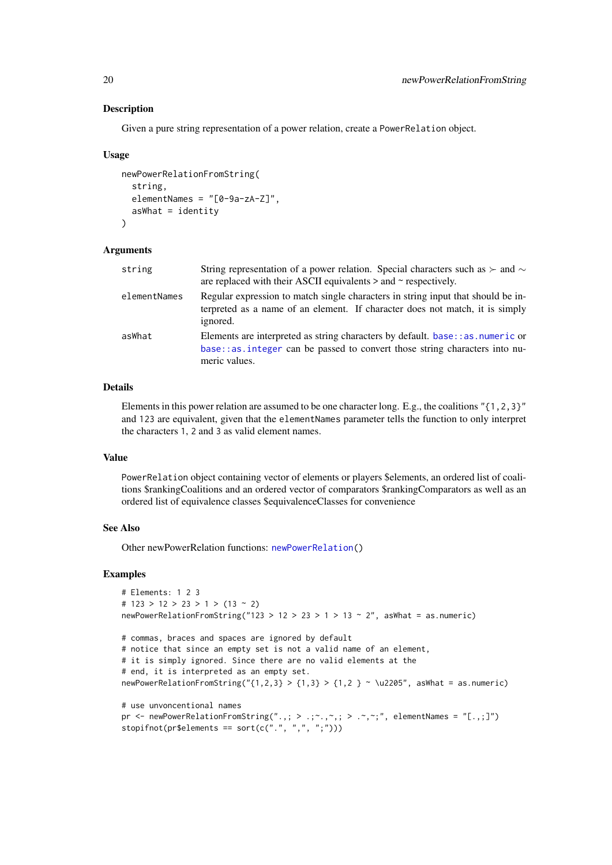#### Description

Given a pure string representation of a power relation, create a PowerRelation object.

#### Usage

```
newPowerRelationFromString(
  string,
  elementNames = "[0-9a-zA-Z]",
  asWhat = identity
\lambda
```
#### Arguments

| string       | String representation of a power relation. Special characters such as $\succ$ and $\sim$<br>are replaced with their ASCII equivalents $>$ and $\sim$ respectively.                 |
|--------------|------------------------------------------------------------------------------------------------------------------------------------------------------------------------------------|
| elementNames | Regular expression to match single characters in string input that should be in-<br>terpreted as a name of an element. If character does not match, it is simply<br>ignored.       |
| asWhat       | Elements are interpreted as string characters by default. base: : as . numeric or<br>$base:$ as integer can be passed to convert those string characters into nu-<br>meric values. |

# Details

Elements in this power relation are assumed to be one character long. E.g., the coalitions "{1,2,3}" and 123 are equivalent, given that the elementNames parameter tells the function to only interpret the characters 1, 2 and 3 as valid element names.

# Value

PowerRelation object containing vector of elements or players \$elements, an ordered list of coalitions \$rankingCoalitions and an ordered vector of comparators \$rankingComparators as well as an ordered list of equivalence classes \$equivalenceClasses for convenience

# See Also

Other newPowerRelation functions: [newPowerRelation\(](#page-16-1))

```
# Elements: 1 2 3
# 123 > 12 > 23 > 1 > (13 ~ 2)
newPowerRelationFromString("123 > 12 > 23 > 1 > 13 \sim 2", asWhat = as.numeric)
# commas, braces and spaces are ignored by default
# notice that since an empty set is not a valid name of an element,
# it is simply ignored. Since there are no valid elements at the
# end, it is interpreted as an empty set.
newPowerRelationFromString("{1,2,3} > {1,3} > {1,2 } ~ \u2205", asWhat = as.numeric)
# use unvoncentional names
pr \le - newPowerRelationFromString(".,; > .; ~, ,, > . ~, ,, , elementNames = "[.,;]")
stopifnot(pr$elements == sort(c(".", ",", ";")))
```
<span id="page-19-0"></span>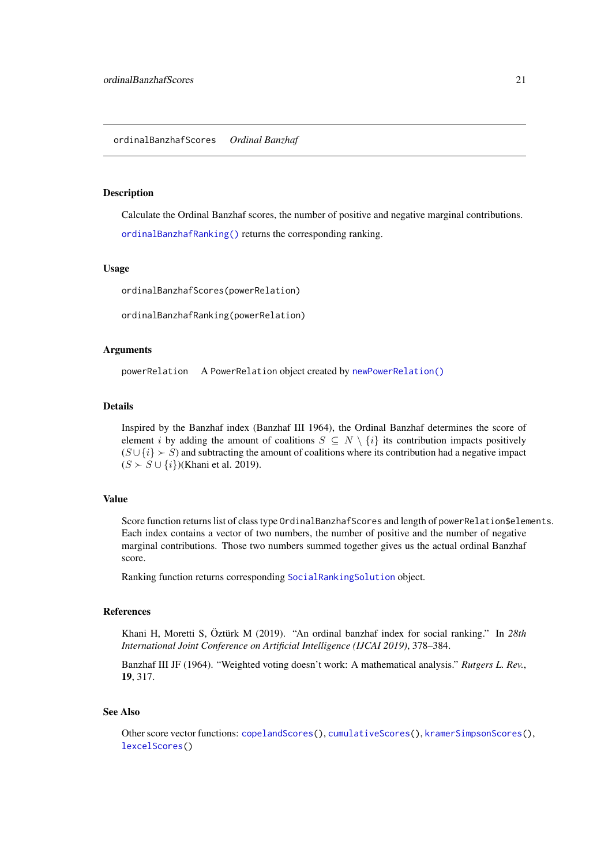#### <span id="page-20-2"></span><span id="page-20-1"></span><span id="page-20-0"></span>Description

Calculate the Ordinal Banzhaf scores, the number of positive and negative marginal contributions.

[ordinalBanzhafRanking\(\)](#page-20-2) returns the corresponding ranking.

# Usage

ordinalBanzhafScores(powerRelation)

ordinalBanzhafRanking(powerRelation)

#### Arguments

powerRelation A PowerRelation object created by [newPowerRelation\(\)](#page-16-1)

#### Details

Inspired by the Banzhaf index (Banzhaf III 1964), the Ordinal Banzhaf determines the score of element i by adding the amount of coalitions  $S \subseteq N \setminus \{i\}$  its contribution impacts positively  $(S \cup \{i\} \succ S)$  and subtracting the amount of coalitions where its contribution had a negative impact  $(S \succ S \cup \{i\})$ (Khani et al. 2019).

# Value

Score function returns list of class type OrdinalBanzhafScores and length of powerRelation\$elements. Each index contains a vector of two numbers, the number of positive and the number of negative marginal contributions. Those two numbers summed together gives us the actual ordinal Banzhaf score.

Ranking function returns corresponding [SocialRankingSolution](#page-25-1) object.

#### References

Khani H, Moretti S, Öztürk M (2019). "An ordinal banzhaf index for social ranking." In *28th International Joint Conference on Artificial Intelligence (IJCAI 2019)*, 378–384.

Banzhaf III JF (1964). "Weighted voting doesn't work: A mathematical analysis." *Rutgers L. Rev.*, 19, 317.

#### See Also

Other score vector functions: [copelandScores\(](#page-2-1)), [cumulativeScores\(](#page-7-1)), [kramerSimpsonScores\(](#page-12-1)), [lexcelScores\(](#page-14-1))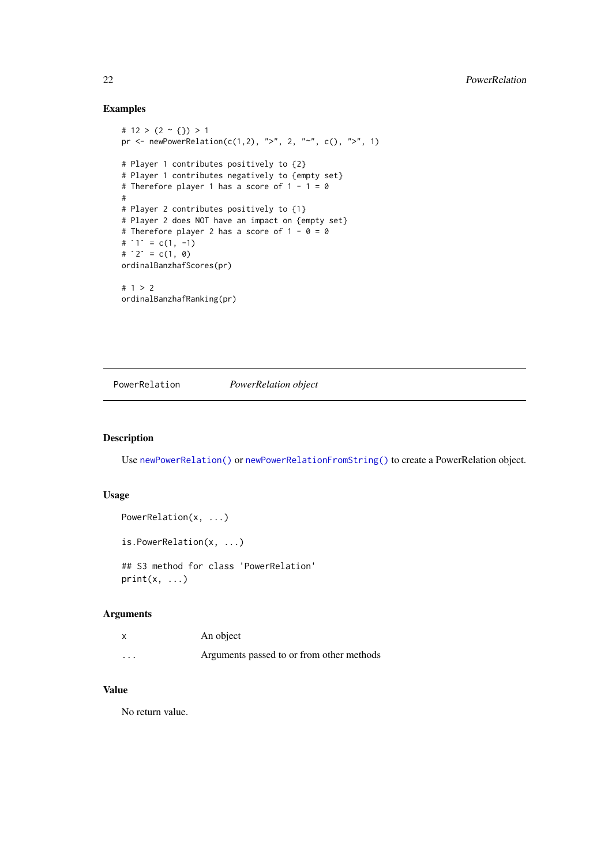# Examples

```
# 12 > (2 \sim {\{\})} > 1pr <- newPowerRelation(c(1,2), ">", 2, "~", c(), ">", 1)
# Player 1 contributes positively to {2}
# Player 1 contributes negatively to {empty set}
# Therefore player 1 has a score of 1 - 1 = 0#
# Player 2 contributes positively to {1}
# Player 2 does NOT have an impact on {empty set}
# Therefore player 2 has a score of 1 - \theta = \theta# Player 2 contr<br># Player 2 does<br># Therefore play<br># `1` = c(1, -1)
# Player 2 does<br># Therefore pla<br># `1` = c(1, -1<br># `2` = c(1, 0)
ordinalBanzhafScores(pr)
# 1 > 2
ordinalBanzhafRanking(pr)
```
<span id="page-21-1"></span>PowerRelation *PowerRelation object*

#### Description

Use [newPowerRelation\(\)](#page-16-1) or [newPowerRelationFromString\(\)](#page-18-1) to create a PowerRelation object.

#### Usage

```
PowerRelation(x, ...)
is.PowerRelation(x, ...)
## S3 method for class 'PowerRelation'
```

```
print(x, \ldots)
```
# Arguments

| X        | An object                                 |
|----------|-------------------------------------------|
| $\cdots$ | Arguments passed to or from other methods |

# Value

No return value.

<span id="page-21-0"></span>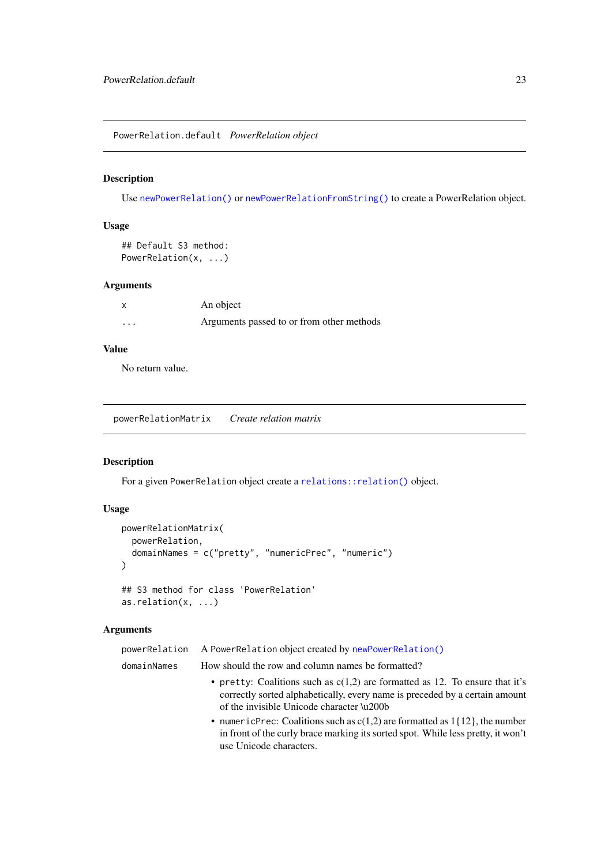<span id="page-22-0"></span>PowerRelation.default *PowerRelation object*

# Description

Use [newPowerRelation\(\)](#page-16-1) or [newPowerRelationFromString\(\)](#page-18-1) to create a PowerRelation object.

# Usage

```
## Default S3 method:
PowerRelation(x, ...)
```
# Arguments

|         | An object                                 |
|---------|-------------------------------------------|
| $\cdot$ | Arguments passed to or from other methods |

# Value

No return value.

<span id="page-22-1"></span>powerRelationMatrix *Create relation matrix*

# Description

For a given PowerRelation object create a [relations::relation\(\)](#page-0-0) object.

# Usage

```
powerRelationMatrix(
  powerRelation,
  domainNames = c("pretty", "numericPrec", "numeric")
)
## S3 method for class 'PowerRelation'
as.relation(x, ...)
```
# Arguments

| powerRelation | A PowerRelation object created by newPowerRelation()                                                                                                                                                       |
|---------------|------------------------------------------------------------------------------------------------------------------------------------------------------------------------------------------------------------|
| domainNames   | How should the row and column names be formatted?                                                                                                                                                          |
|               | • pretty: Coalitions such as $c(1,2)$ are formatted as 12. To ensure that it's<br>correctly sorted alphabetically, every name is preceded by a certain amount<br>of the invisible Unicode character \u200b |
|               | • numericPrec: Coalitions such as $c(1,2)$ are formatted as $1\{12\}$ , the number<br>in front of the curly brace marking its sorted spot. While less pretty, it won't<br>use Unicode characters.          |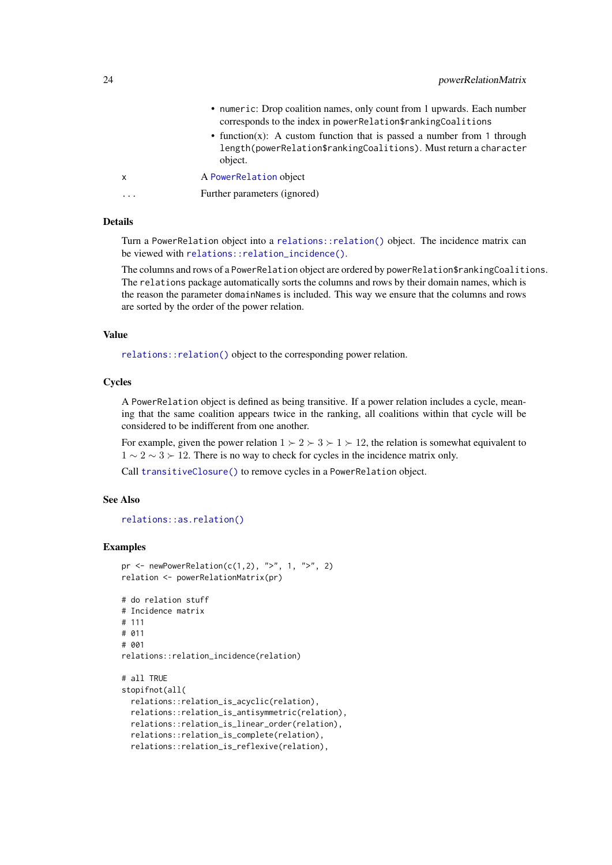<span id="page-23-0"></span>

| object.<br>A PowerRelation object<br>x<br>Further parameters (ignored)<br>. | • numeric: Drop coalition names, only count from 1 upwards. Each number<br>corresponds to the index in powerRelation\$rankingCoalitions<br>• function(x): A custom function that is passed a number from 1 through |
|-----------------------------------------------------------------------------|--------------------------------------------------------------------------------------------------------------------------------------------------------------------------------------------------------------------|
|                                                                             | length(powerRelation\$rankingCoalitions). Must return a character                                                                                                                                                  |
|                                                                             |                                                                                                                                                                                                                    |
|                                                                             |                                                                                                                                                                                                                    |

# Details

Turn a PowerRelation object into a [relations::relation\(\)](#page-0-0) object. The incidence matrix can be viewed with [relations::relation\\_incidence\(\)](#page-0-0).

The columns and rows of a PowerRelation object are ordered by powerRelation\$rankingCoalitions. The relations package automatically sorts the columns and rows by their domain names, which is the reason the parameter domainNames is included. This way we ensure that the columns and rows are sorted by the order of the power relation.

### Value

[relations::relation\(\)](#page-0-0) object to the corresponding power relation.

## **Cycles**

A PowerRelation object is defined as being transitive. If a power relation includes a cycle, meaning that the same coalition appears twice in the ranking, all coalitions within that cycle will be considered to be indifferent from one another.

For example, given the power relation  $1 \succ 2 \succ 3 \succ 1 \succ 12$ , the relation is somewhat equivalent to  $1 \sim 2 \sim 3 \succ 12$ . There is no way to check for cycles in the incidence matrix only.

Call [transitiveClosure\(\)](#page-28-1) to remove cycles in a PowerRelation object.

# See Also

[relations::as.relation\(\)](#page-0-0)

#### Examples

```
pr <- newPowerRelation(c(1,2), ">", 1, ">", 2)
relation <- powerRelationMatrix(pr)
# do relation stuff
# Incidence matrix
# 111
# 011
# 001
relations::relation_incidence(relation)
# all TRUE
stopifnot(all(
  relations::relation_is_acyclic(relation),
  relations::relation_is_antisymmetric(relation),
  relations::relation_is_linear_order(relation),
  relations::relation_is_complete(relation),
```
relations::relation\_is\_reflexive(relation),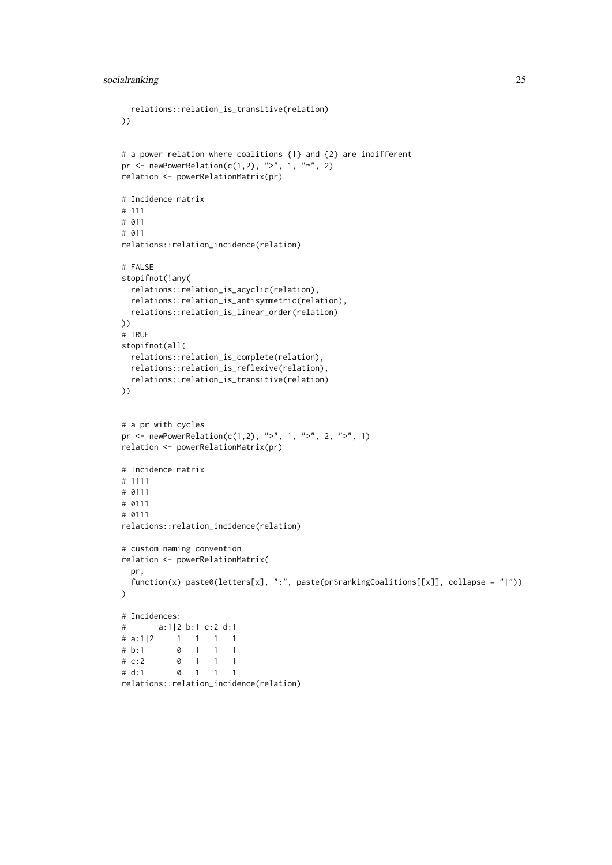```
relations::relation_is_transitive(relation)
))
# a power relation where coalitions {1} and {2} are indifferent
pr <- newPowerRelation(c(1,2), ">", 1, "~", 2)
relation <- powerRelationMatrix(pr)
# Incidence matrix
# 111
# 011
# 011
relations::relation_incidence(relation)
# FALSE
stopifnot(!any(
 relations::relation_is_acyclic(relation),
 relations::relation_is_antisymmetric(relation),
 relations::relation_is_linear_order(relation)
))
# TRUE
stopifnot(all(
 relations::relation_is_complete(relation),
 relations::relation_is_reflexive(relation),
 relations::relation_is_transitive(relation)
))
# a pr with cycles
pr <- newPowerRelation(c(1,2), ">", 1, ">", 2, ">", 1)
relation <- powerRelationMatrix(pr)
# Incidence matrix
# 1111
# 0111
# 0111
# 0111
relations::relation_incidence(relation)
# custom naming convention
relation <- powerRelationMatrix(
 pr,
 function(x) paste0(letters[x], ":", paste(pr$rankingCoalitions[[x]], collapse = "|"))
\lambda# Incidences:
# a:1|2 b:1 c:2 d:1
# a:1|2 1 1 1 1
# b:1 0 1 1 1
\# c:2 0 1 1 1
# d:1 0 1 1 1
relations::relation_incidence(relation)
```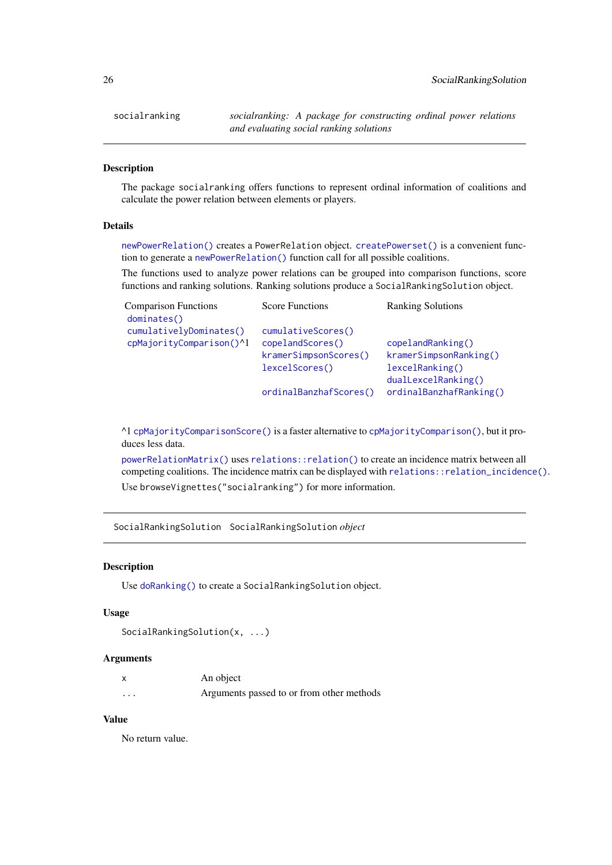<span id="page-25-0"></span>socialranking *socialranking: A package for constructing ordinal power relations and evaluating social ranking solutions*

# Description

The package socialranking offers functions to represent ordinal information of coalitions and calculate the power relation between elements or players.

# Details

[newPowerRelation\(\)](#page-16-1) creates a PowerRelation object. [createPowerset\(\)](#page-6-1) is a convenient function to generate a [newPowerRelation\(\)](#page-16-1) function call for all possible coalitions.

The functions used to analyze power relations can be grouped into comparison functions, score functions and ranking solutions. Ranking solutions produce a SocialRankingSolution object.

| <b>Score Functions</b> | <b>Ranking Solutions</b> |
|------------------------|--------------------------|
|                        |                          |
| cumulativeScores()     |                          |
| copelandScores()       | copelandRanking()        |
| kramerSimpsonScores()  | kramerSimpsonRanking()   |
| lexcelScores()         | lexcelRanking()          |
|                        | dualLexcelRanking()      |
| ordinalBanzhafScores() | ordinalBanzhafRanking()  |
|                        |                          |

^1 [cpMajorityComparisonScore\(\)](#page-4-2) is a faster alternative to [cpMajorityComparison\(\)](#page-4-1), but it produces less data.

[powerRelationMatrix\(\)](#page-22-1) uses [relations::relation\(\)](#page-0-0) to create an incidence matrix between all competing coalitions. The incidence matrix can be displayed with [relations::relation\\_incidence\(\)](#page-0-0). Use browseVignettes("socialranking") for more information.

<span id="page-25-1"></span>SocialRankingSolution SocialRankingSolution *object*

### Description

Use [doRanking\(\)](#page-10-1) to create a SocialRankingSolution object.

#### Usage

```
SocialRankingSolution(x, ...)
```
### Arguments

|          | An object                                 |
|----------|-------------------------------------------|
| $\cdots$ | Arguments passed to or from other methods |

# Value

No return value.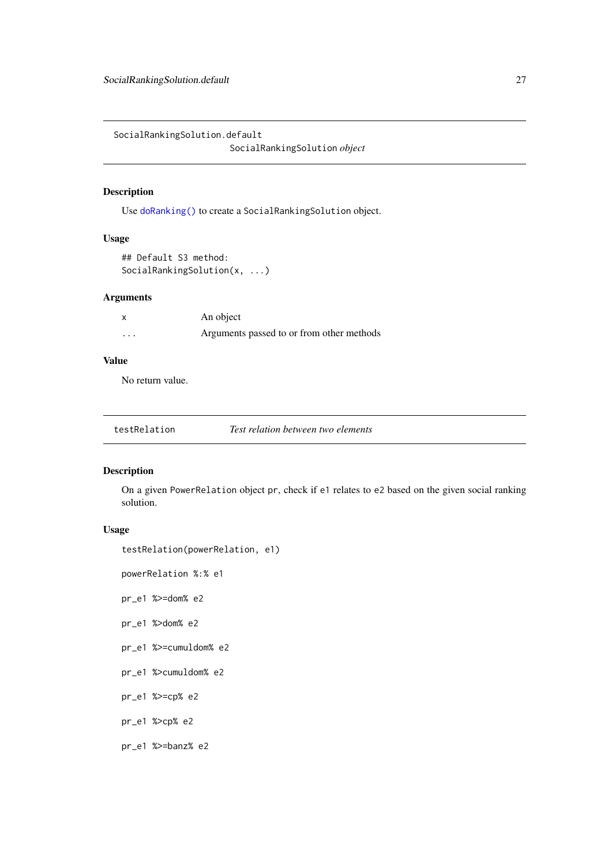<span id="page-26-0"></span>SocialRankingSolution.default

SocialRankingSolution *object*

# Description

Use [doRanking\(\)](#page-10-1) to create a SocialRankingSolution object.

# Usage

```
## Default S3 method:
SocialRankingSolution(x, ...)
```
# Arguments

|         | An object                                 |
|---------|-------------------------------------------|
| $\cdot$ | Arguments passed to or from other methods |

### Value

No return value.

| testRelation | Test relation between two elements |
|--------------|------------------------------------|
|--------------|------------------------------------|

# Description

On a given PowerRelation object pr, check if e1 relates to e2 based on the given social ranking solution.

# Usage

```
testRelation(powerRelation, e1)
```
powerRelation %:% e1

pr\_e1 %>=dom% e2

pr\_e1 %>dom% e2

- pr\_e1 %>=cumuldom% e2
- pr\_e1 %>cumuldom% e2
- pr\_e1 %>=cp% e2
- pr\_e1 %>cp% e2
- pr\_e1 %>=banz% e2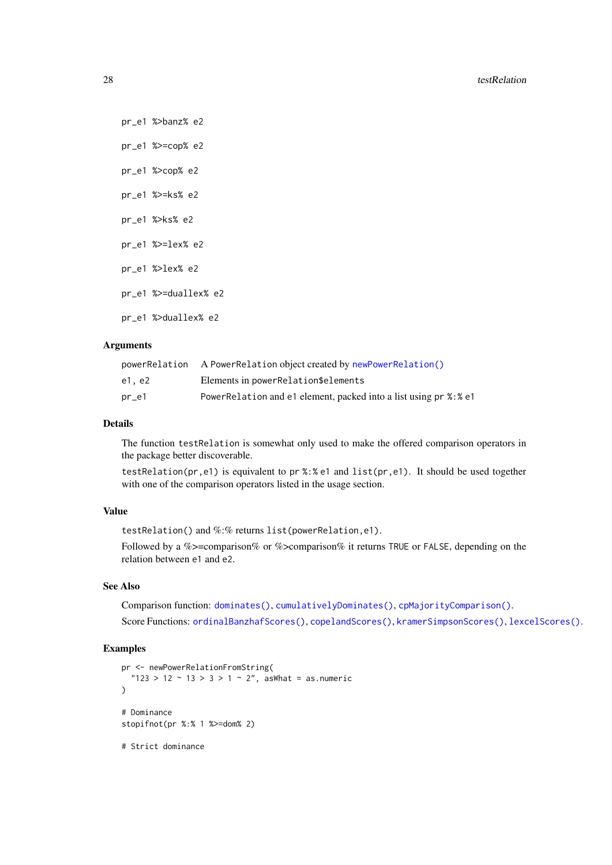pr\_e1 %>banz% e2 pr\_e1 %>=cop% e2 pr\_e1 %>cop% e2 pr\_e1 %>=ks% e2 pr\_e1 %>ks% e2 pr\_e1 %>=lex% e2 pr\_e1 %>lex% e2 pr\_e1 %>=duallex% e2 pr\_e1 %>duallex% e2

# Arguments

| powerRelation | A PowerRelation object created by newPowerRelation()              |
|---------------|-------------------------------------------------------------------|
| e1. e2        | Elements in powerRelation\$elements                               |
| pr_e1         | PowerRelation and e1 element, packed into a list using pr %: % e1 |

#### Details

The function testRelation is somewhat only used to make the offered comparison operators in the package better discoverable.

testRelation(pr,e1) is equivalent to pr %:% e1 and list(pr,e1). It should be used together with one of the comparison operators listed in the usage section.

# Value

testRelation() and %:% returns list(powerRelation,e1).

Followed by a %>=comparison% or %>comparison% it returns TRUE or FALSE, depending on the relation between e1 and e2.

# See Also

Comparison function: [dominates\(\)](#page-9-1), [cumulativelyDominates\(\)](#page-7-2), [cpMajorityComparison\(\)](#page-4-1). Score Functions: [ordinalBanzhafScores\(\)](#page-20-1), [copelandScores\(\)](#page-2-1), [kramerSimpsonScores\(\)](#page-12-1), [lexcelScores\(\)](#page-14-1).

```
pr <- newPowerRelationFromString(
  "123 > 12 \sim 13 > 3 > 1 \sim 2", asWhat = as.numeric
)
# Dominance
stopifnot(pr %:% 1 %>=dom% 2)
# Strict dominance
```
<span id="page-27-0"></span>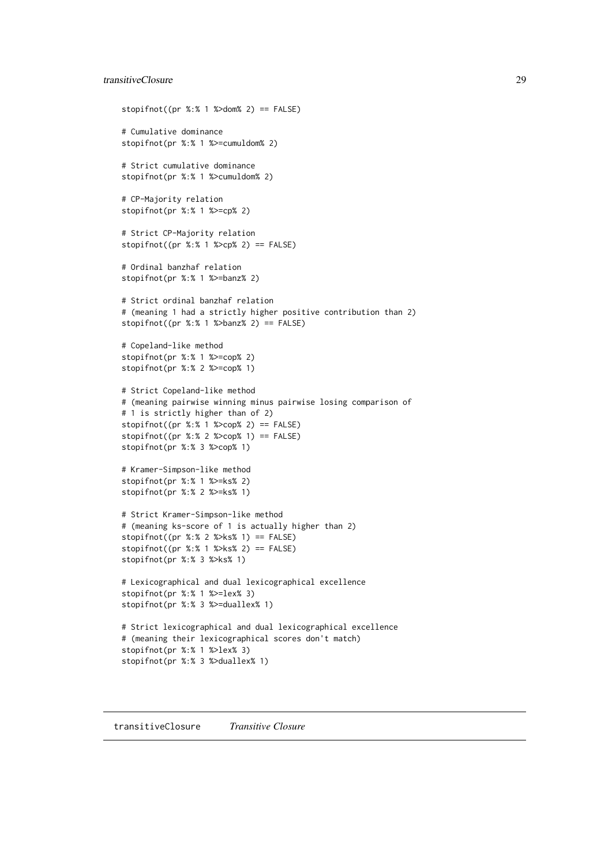#### <span id="page-28-0"></span>transitiveClosure 29

```
stopifnot((pr % : 8 \times 1 %>dom% 2) == FALSE)
# Cumulative dominance
stopifnot(pr %:% 1 %>=cumuldom% 2)
# Strict cumulative dominance
stopifnot(pr %:% 1 %>cumuldom% 2)
# CP-Majority relation
stopifnot(pr %:% 1 %>=cp% 2)
# Strict CP-Majority relation
stopifnot((pr %: % 1 % > cp % 2) == FALSE)# Ordinal banzhaf relation
stopifnot(pr %:% 1 %>=banz% 2)
# Strict ordinal banzhaf relation
# (meaning 1 had a strictly higher positive contribution than 2)
stopifnot((pr % : 1 %>banz% 2) == FALSE)
# Copeland-like method
stopifnot(pr %:% 1 %>=cop% 2)
stopifnot(pr %:% 2 %>=cop% 1)
# Strict Copeland-like method
# (meaning pairwise winning minus pairwise losing comparison of
# 1 is strictly higher than of 2)
stopifnot((pr %: %1 % > cop % 2) == FALSE)stopifnot((pr % : % 2 % > cop % 1) == FALSE)
stopifnot(pr %:% 3 %>cop% 1)
# Kramer-Simpson-like method
stopifnot(pr %:% 1 %>=ks% 2)
stopifnot(pr %:% 2 %>=ks% 1)
# Strict Kramer-Simpson-like method
# (meaning ks-score of 1 is actually higher than 2)
stopifnot((pr %:% 2 %>ks% 1) == FALSE)
stopifnot((pr %:% 1 %>ks% 2) == FALSE)
stopifnot(pr %:% 3 %>ks% 1)
# Lexicographical and dual lexicographical excellence
stopifnot(pr %:% 1 %>=lex% 3)
stopifnot(pr %:% 3 %>=duallex% 1)
# Strict lexicographical and dual lexicographical excellence
# (meaning their lexicographical scores don't match)
stopifnot(pr %:% 1 %>lex% 3)
stopifnot(pr %:% 3 %>duallex% 1)
```
<span id="page-28-1"></span>transitiveClosure *Transitive Closure*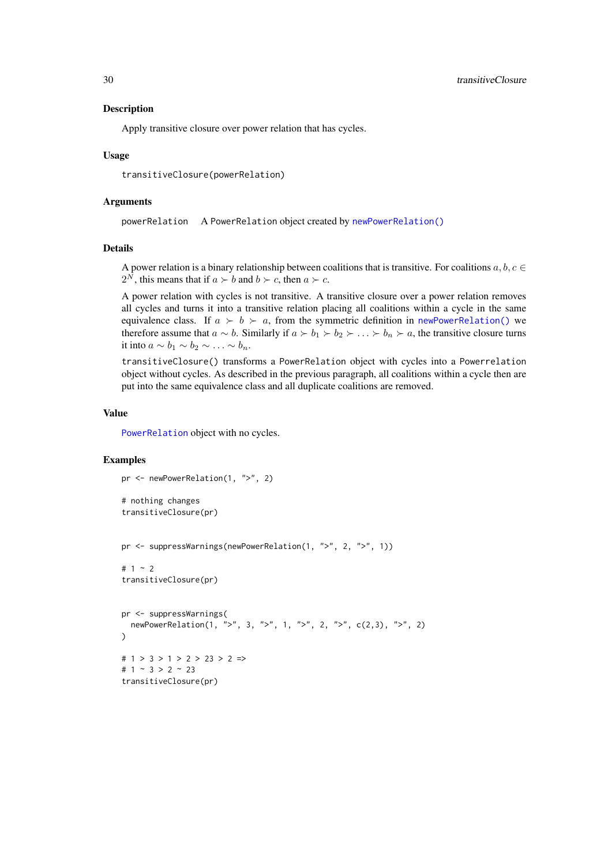#### Description

Apply transitive closure over power relation that has cycles.

#### Usage

transitiveClosure(powerRelation)

#### Arguments

powerRelation A PowerRelation object created by [newPowerRelation\(\)](#page-16-1)

#### Details

A power relation is a binary relationship between coalitions that is transitive. For coalitions  $a, b, c \in$  $2^N$ , this means that if  $a \succ b$  and  $b \succ c$ , then  $a \succ c$ .

A power relation with cycles is not transitive. A transitive closure over a power relation removes all cycles and turns it into a transitive relation placing all coalitions within a cycle in the same equivalence class. If  $a \succ b \succ a$ , from the symmetric definition in [newPowerRelation\(\)](#page-16-1) we therefore assume that  $a \sim b$ . Similarly if  $a \succ b_1 \succ b_2 \succ \ldots \succ b_n \succ a$ , the transitive closure turns it into  $a \sim b_1 \sim b_2 \sim \ldots \sim b_n$ .

transitiveClosure() transforms a PowerRelation object with cycles into a Powerrelation object without cycles. As described in the previous paragraph, all coalitions within a cycle then are put into the same equivalence class and all duplicate coalitions are removed.

# Value

[PowerRelation](#page-21-1) object with no cycles.

#### Examples

```
pr <- newPowerRelation(1, ">", 2)
```

```
# nothing changes
transitiveClosure(pr)
```
pr <- suppressWarnings(newPowerRelation(1, ">", 2, ">", 1))

```
# 1 ~ 2
transitiveClosure(pr)
```

```
pr <- suppressWarnings(
  newPowerRelation(1, ">", 3, ">", 1, ">", 2, ">", c(2,3), ">", 2)
)
# 1 > 3 > 1 > 2 > 23 > 2 =>
# 1 \sim 3 > 2 \sim 23transitiveClosure(pr)
```
<span id="page-29-0"></span>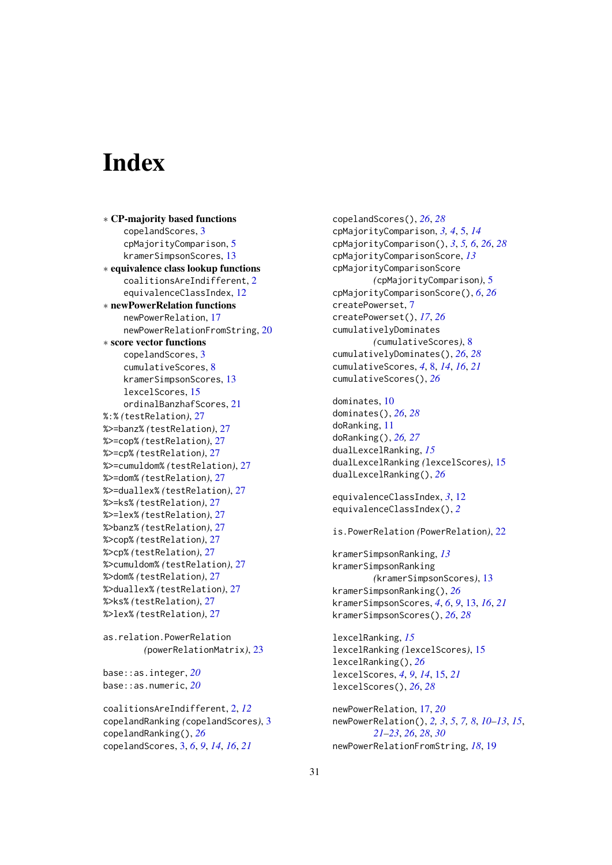# <span id="page-30-0"></span>Index

∗ CP-majority based functions copelandScores, [3](#page-2-0) cpMajorityComparison, [5](#page-4-0) kramerSimpsonScores, [13](#page-12-0) ∗ equivalence class lookup functions coalitionsAreIndifferent, [2](#page-1-0) equivalenceClassIndex, [12](#page-11-0) ∗ newPowerRelation functions newPowerRelation, [17](#page-16-0) newPowerRelationFromString, [20](#page-19-0) ∗ score vector functions copelandScores, [3](#page-2-0) cumulativeScores, [8](#page-7-0) kramerSimpsonScores, [13](#page-12-0) lexcelScores, [15](#page-14-0) ordinalBanzhafScores, [21](#page-20-0) %:% *(*testRelation*)*, [27](#page-26-0) %>=banz% *(*testRelation*)*, [27](#page-26-0) %>=cop% *(*testRelation*)*, [27](#page-26-0) %>=cp% *(*testRelation*)*, [27](#page-26-0) %>=cumuldom% *(*testRelation*)*, [27](#page-26-0) %>=dom% *(*testRelation*)*, [27](#page-26-0) %>=duallex% *(*testRelation*)*, [27](#page-26-0) %>=ks% *(*testRelation*)*, [27](#page-26-0) %>=lex% *(*testRelation*)*, [27](#page-26-0) %>banz% *(*testRelation*)*, [27](#page-26-0) %>cop% *(*testRelation*)*, [27](#page-26-0) %>cp% *(*testRelation*)*, [27](#page-26-0) %>cumuldom% *(*testRelation*)*, [27](#page-26-0) %>dom% *(*testRelation*)*, [27](#page-26-0) %>duallex% *(*testRelation*)*, [27](#page-26-0) %>ks% *(*testRelation*)*, [27](#page-26-0) %>lex% *(*testRelation*)*, [27](#page-26-0)

```
as.relation.PowerRelation
        (powerRelationMatrix), 23
```
base::as.integer, *[20](#page-19-0)* base::as.numeric, *[20](#page-19-0)*

coalitionsAreIndifferent, [2,](#page-1-0) *[12](#page-11-0)* copelandRanking *(*copelandScores*)*, [3](#page-2-0) copelandRanking(), *[26](#page-25-0)* copelandScores, [3,](#page-2-0) *[6](#page-5-0)*, *[9](#page-8-0)*, *[14](#page-13-0)*, *[16](#page-15-0)*, *[21](#page-20-0)*

copelandScores(), *[26](#page-25-0)*, *[28](#page-27-0)* cpMajorityComparison, *[3,](#page-2-0) [4](#page-3-0)*, [5,](#page-4-0) *[14](#page-13-0)* cpMajorityComparison(), *[3](#page-2-0)*, *[5,](#page-4-0) [6](#page-5-0)*, *[26](#page-25-0)*, *[28](#page-27-0)* cpMajorityComparisonScore, *[13](#page-12-0)* cpMajorityComparisonScore *(*cpMajorityComparison*)*, [5](#page-4-0) cpMajorityComparisonScore(), *[6](#page-5-0)*, *[26](#page-25-0)* createPowerset, [7](#page-6-0) createPowerset(), *[17](#page-16-0)*, *[26](#page-25-0)* cumulativelyDominates *(*cumulativeScores*)*, [8](#page-7-0) cumulativelyDominates(), *[26](#page-25-0)*, *[28](#page-27-0)* cumulativeScores, *[4](#page-3-0)*, [8,](#page-7-0) *[14](#page-13-0)*, *[16](#page-15-0)*, *[21](#page-20-0)* cumulativeScores(), *[26](#page-25-0)*

```
dominates, 10
dominates(), 26, 28
doRanking, 11
doRanking(), 26, 27
dualLexcelRanking, 15
dualLexcelRanking (lexcelScores), 15
dualLexcelRanking(), 26
```

```
equivalenceClassIndex, 3, 12
equivalenceClassIndex(), 2
```

```
is.PowerRelation (PowerRelation), 22
```

```
kramerSimpsonRanking, 13
kramerSimpsonRanking
        (kramerSimpsonScores), 13
kramerSimpsonRanking(), 26
kramerSimpsonScores, 4, 6, 9, 13, 16, 21
kramerSimpsonScores(), 26, 28
```
lexcelRanking, *[15](#page-14-0)* lexcelRanking *(*lexcelScores*)*, [15](#page-14-0) lexcelRanking(), *[26](#page-25-0)* lexcelScores, *[4](#page-3-0)*, *[9](#page-8-0)*, *[14](#page-13-0)*, [15,](#page-14-0) *[21](#page-20-0)* lexcelScores(), *[26](#page-25-0)*, *[28](#page-27-0)*

```
newPowerRelation, 17, 20
newPowerRelation(), 2, 3, 5, 7, 8, 10–13, 15,
         21–23, 26, 28, 30
newPowerRelationFromString, 18, 19
```